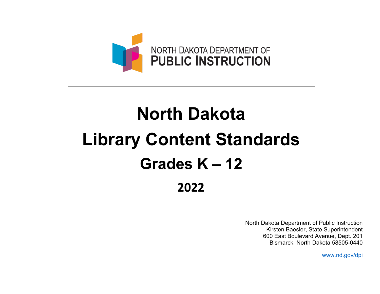

# **North Dakota Library Content Standards Grades K – 12 2022**

North Dakota Department of Public Instruction Kirsten Baesler, State Superintendent 600 East Boulevard Avenue, Dept. 201 Bismarck, North Dakota 58505-0440

[www.nd.gov/dpi](http://www.nd.gov/dpi)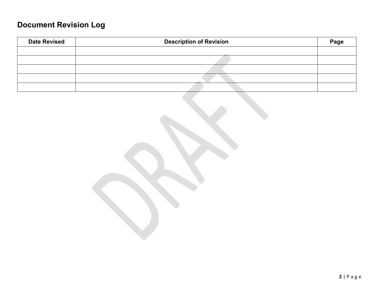## **Document Revision Log**

| <b>Date Revised</b> | <b>Description of Revision</b> | Page |
|---------------------|--------------------------------|------|
|                     |                                |      |
|                     |                                |      |
|                     |                                |      |
|                     |                                |      |
|                     |                                |      |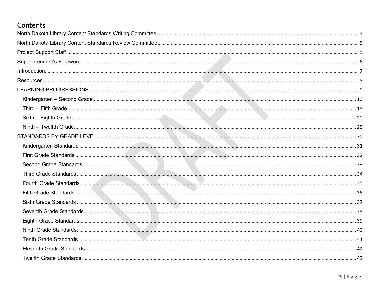## Contents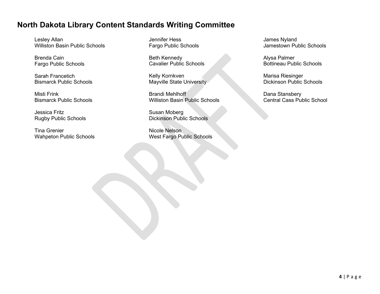## <span id="page-3-0"></span>**North Dakota Library Content Standards Writing Committee**

Lesley Allan Williston Basin Public Schools

Brenda Cain Fargo Public Schools

Sarah Francetich Bismarck Public Schools

Misti Frink Bismarck Public Schools

Jessica Fritz Rugby Public Schools

Tina Grenier Wahpeton Public Schools

Jennifer Hess Fargo Public Schools

Beth Kennedy Cavalier Public Schools

Kelly Kornkven Mayville State University

Brandi Mehlhoff Williston Basin Public Schools

Susan Moberg Dickinson Public Schools

Nicole Nelson West Fargo Public Schools James Nyland Jamestown Public Schools

Alysa Palmer Bottineau Public Schools

Marisa Riesinger Dickinson Public Schools

Dana Stansbery Central Cass Public School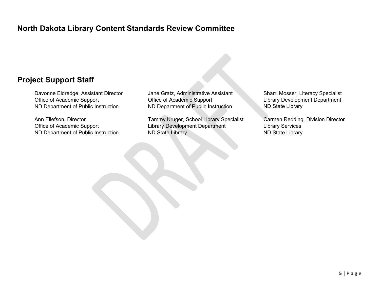## <span id="page-4-0"></span>**North Dakota Library Content Standards Review Committee**

## <span id="page-4-1"></span>**Project Support Staff**

Davonne Eldredge, Assistant Director Office of Academic Support ND Department of Public Instruction

Ann Ellefson, Director Office of Academic Support ND Department of Public Instruction Jane Gratz, Administrative Assistant Office of Academic Support ND Department of Public Instruction

Tammy Kruger, School Library Specialist Library Development Department ND State Library

Sharri Mosser, Literacy Specialist Library Development Department ND State Library

Carmen Redding, Division Director Library Services ND State Library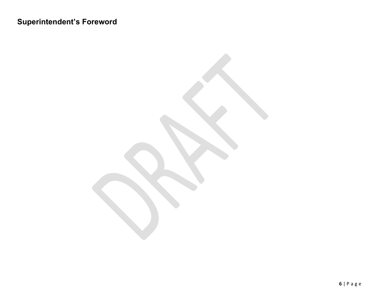## <span id="page-5-0"></span>**Superintendent's Foreword**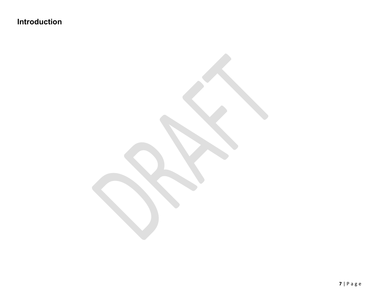<span id="page-6-0"></span>**Introduction**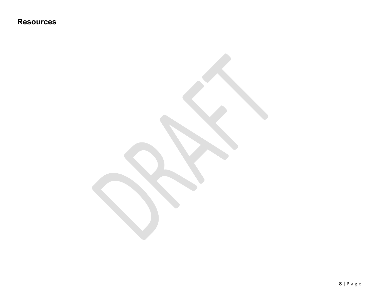<span id="page-7-0"></span>**Resources**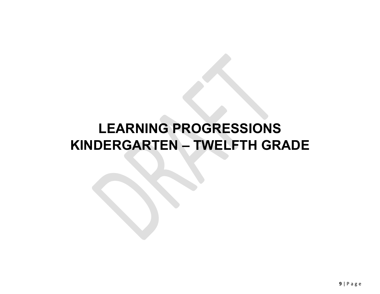## <span id="page-8-0"></span>**LEARNING PROGRESSIONS KINDERGARTEN – TWELFTH GRADE**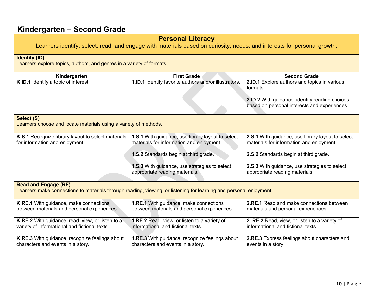### **Personal Literacy**

<span id="page-9-0"></span>Learners identify, select, read, and engage with materials based on curiosity, needs, and interests for personal growth.

#### **Identify (ID)**

Learners explore topics, authors, and genres in a variety of formats.

| Kindergarten                                | <b>First Grade</b>                                           | <b>Second Grade</b>                                 |
|---------------------------------------------|--------------------------------------------------------------|-----------------------------------------------------|
| <b>K.ID.1</b> Identify a topic of interest. | <b>1.ID.1</b> Identify favorite authors and/or illustrators. | <b>2.ID.1</b> Explore authors and topics in various |
|                                             |                                                              | formats.                                            |
|                                             |                                                              |                                                     |
|                                             |                                                              | 2.ID.2 With guidance, identify reading choices      |
|                                             |                                                              | based on personal interests and experiences.        |
|                                             |                                                              |                                                     |

#### **Select (S)**

Learners choose and locate materials using a variety of methods.

| K.S.1 Recognize library layout to select materials  <br>for information and enjoyment. | 1.S.1 With guidance, use library layout to select<br>materials for information and enjoyment. | 2.S.1 With guidance, use library layout to select<br>materials for information and enjoyment. |
|----------------------------------------------------------------------------------------|-----------------------------------------------------------------------------------------------|-----------------------------------------------------------------------------------------------|
|                                                                                        | <b>1.S.2</b> Standards begin at third grade.                                                  | <b>2.S.2</b> Standards begin at third grade.                                                  |
|                                                                                        | <b>1.S.3</b> With guidance, use strategies to select<br>appropriate reading materials.        | 2.S.3 With guidance, use strategies to select<br>appropriate reading materials.               |

#### **Read and Engage (RE)**

Learners make connections to materials through reading, viewing, or listening for learning and personal enjoyment.

| K.RE.1 With guidance, make connections                  | <b>1.RE.1</b> With guidance, make connections         | 2.RE.1 Read and make connections between      |
|---------------------------------------------------------|-------------------------------------------------------|-----------------------------------------------|
| between materials and personal experiences.             | between materials and personal experiences.           | materials and personal experiences.           |
| <b>K.RE.2</b> With guidance, read, view, or listen to a | 1.RE.2 Read, view, or listen to a variety of          | 2. RE.2 Read, view, or listen to a variety of |
| variety of informational and fictional texts.           | informational and fictional texts.                    | informational and fictional texts.            |
| K.RE.3 With guidance, recognize feelings about          | <b>1.RE.3</b> With guidance, recognize feelings about | 2.RE.3 Express feelings about characters and  |
| characters and events in a story.                       | characters and events in a story.                     | events in a story.                            |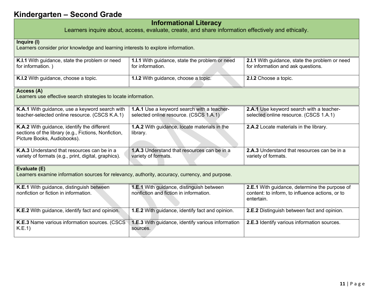#### **Informational Literacy**

Learners inquire about, access, evaluate, create, and share information effectively and ethically.

| Inquire (I)<br>Learners consider prior knowledge and learning interests to explore information.                                    |                                                                                      |                                                                                                                |
|------------------------------------------------------------------------------------------------------------------------------------|--------------------------------------------------------------------------------------|----------------------------------------------------------------------------------------------------------------|
| K.I.1 With guidance, state the problem or need<br>for information.)                                                                | 1.I.1 With guidance, state the problem or need<br>for information.                   | 2.I.1 With guidance, state the problem or need<br>for information and ask questions.                           |
| K.I.2 With guidance, choose a topic.                                                                                               | 1.I.2 With guidance, choose a topic.                                                 | 2.I.2 Choose a topic.                                                                                          |
| Access (A)<br>Learners use effective search strategies to locate information.                                                      |                                                                                      |                                                                                                                |
| K.A.1 With guidance, use a keyword search with<br>teacher-selected online resource. (CSCS K.A.1)                                   | 1.A.1 Use a keyword search with a teacher-<br>selected online resource. (CSCS 1.A.1) | 2.A.1 Use keyword search with a teacher-<br>selected online resource. (CSCS 1.A.1)                             |
| K.A.2 With guidance, identify the different<br>sections of the library (e.g., Fictions, Nonfiction,<br>Picture Books, Audiobooks). | 1.A.2 With guidance, locate materials in the<br>library.                             | 2.A.2 Locate materials in the library.                                                                         |
| K.A.3 Understand that resources can be in a<br>variety of formats (e.g., print, digital, graphics).                                | 1.A.3 Understand that resources can be in a<br>variety of formats.                   | 2.A.3 Understand that resources can be in a<br>variety of formats.                                             |
| Evaluate (E)<br>Learners examine information sources for relevancy, authority, accuracy, currency, and purpose.                    |                                                                                      |                                                                                                                |
| K.E.1 With guidance, distinguish between<br>nonfiction or fiction in information.                                                  | 1.E.1 With guidance, distinguish between<br>nonfiction and fiction in information.   | 2.E.1 With guidance, determine the purpose of<br>content: to inform, to influence actions, or to<br>entertain. |
| K.E.2 With guidance, identify fact and opinion.                                                                                    | <b>1.E.2</b> With guidance, identify fact and opinion.                               | 2.E.2 Distinguish between fact and opinion.                                                                    |
| K.E.3 Name various information sources. (CSCS<br>K.E.1)                                                                            | <b>1.E.3</b> With guidance, identify various information<br>sources.                 | 2.E.3 Identify various information sources.                                                                    |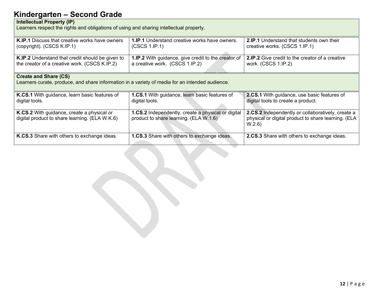#### **Intellectual Property (IP)**

Learners respect the rights and obligations of using and sharing intellectual property.

| <b>K.IP.1</b> Discuss that creative works have owners<br>(copyright). (CSCS K.IP.1)                                             | <b>1.IP.1</b> Understand creative works have owners.<br>(CSCS 1.IP.1)                               | <b>2.IP.1</b> Understand that students own their<br>creative works. (CSCS 1.IP.1)                                 |  |
|---------------------------------------------------------------------------------------------------------------------------------|-----------------------------------------------------------------------------------------------------|-------------------------------------------------------------------------------------------------------------------|--|
| <b>K.IP.2</b> Understand that credit should be given to<br>the creator of a creative work. (CSCS K.IP.2)                        | 1.IP.2 With guidance, give credit to the creator of<br>a creative work. (CSCS 1.IP.2)               | <b>2.IP.2</b> Give credit to the creator of a creative<br>work. (CSCS 1.IP.2)                                     |  |
| <b>Create and Share (CS)</b><br>Learners curate, produce, and share information in a variety of media for an intended audience. |                                                                                                     |                                                                                                                   |  |
| K.CS.1 With guidance, learn basic features of<br>digital tools.                                                                 | <b>1.CS.1</b> With guidance, learn basic features of<br>digital tools.                              | 2.CS.1 With guidance, use basic features of<br>digital tools to create a product.                                 |  |
| K.CS.2 With guidance, create a physical or<br>digital product to share learning. (ELA W.K.6)                                    | <b>1.CS.2</b> Independently, create a physical or digital<br>product to share learning. (ELA W.1.6) | 2.CS.2 Independently or collaboratively, create a<br>physical or digital product to share learning. (ELA<br>W.2.6 |  |
| K.CS.3 Share with others to exchange ideas.                                                                                     | <b>1.CS.3</b> Share with others to exchange ideas.                                                  | 2.CS.3 Share with others to exchange ideas.                                                                       |  |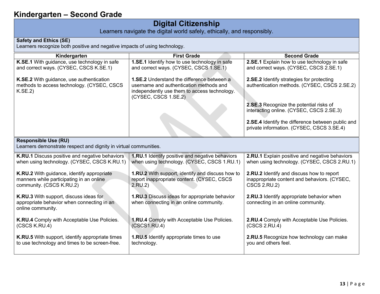## **Digital Citizenship**

Learners navigate the digital world safely, ethically, and responsibly.

#### **Safety and Ethics (SE)**

Learners recognize both positive and negative impacts of using technology.

| Kindergarten                                                                                                       | <b>First Grade</b>                                                                                                                                                   | <b>Second Grade</b>                                                                                              |  |
|--------------------------------------------------------------------------------------------------------------------|----------------------------------------------------------------------------------------------------------------------------------------------------------------------|------------------------------------------------------------------------------------------------------------------|--|
| K.SE.1 With guidance, use technology in safe<br>and correct ways. (CYSEC, CSCS K.SE.1)                             | <b>1.SE.1</b> Identify how to use technology in safe<br>and correct ways. (CYSEC, CSCS 1.SE.1)                                                                       | 2.SE.1 Explain how to use technology in safe<br>and correct ways. (CYSEC, CSCS 2.SE.1)                           |  |
| K.SE.2 With guidance, use authentication<br>methods to access technology. (CYSEC, CSCS<br>K.SE.2                   | <b>1.SE.2</b> Understand the difference between a<br>username and authentication methods and<br>independently use them to access technology.<br>(CYSEC, CSCS 1.SE.2) | 2.SE.2 Identify strategies for protecting<br>authentication methods. (CYSEC, CSCS 2.SE.2)                        |  |
|                                                                                                                    |                                                                                                                                                                      | 2.SE.3 Recognize the potential risks of<br>interacting online. (CYSEC, CSCS 2.SE.3)                              |  |
|                                                                                                                    |                                                                                                                                                                      | 2.SE.4 Identify the difference between public and<br>private information. (CYSEC, CSCS 3.SE.4)                   |  |
| <b>Responsible Use (RU)</b><br>Learners demonstrate respect and dignity in virtual communities.                    |                                                                                                                                                                      |                                                                                                                  |  |
| K.RU.1 Discuss positive and negative behaviors<br>when using technology. (CYSEC, CSCS K.RU.1)                      | 1.RU.1 Identify positive and negative behaviors<br>when using technology. (CYSEC, CSCS 1.RU.1)                                                                       | 2.RU.1 Explain positive and negative behaviors<br>when using technology. (CYSEC, CSCS 2.RU.1)                    |  |
| K.RU.2 With guidance, identify appropriate<br>manners while participating in an online<br>community. (CSCS K.RU.2) | 1.RU.2 With support, identify and discuss how to<br>report inappropriate content. (CYSEC, CSCS<br>2.RU.2                                                             | 2.RU.2 Identify and discuss how to report<br>inappropriate content and behaviors. (CYSEC,<br><b>CSCS 2.RU.2)</b> |  |
| K.RU.3 With support, discuss ideas for<br>appropriate behavior when connecting in an<br>online community.          | 1.RU.3 Discuss ideas for appropriate behavior<br>when connecting in an online community.                                                                             | 2.RU.3 Identify appropriate behavior when<br>connecting in an online community.                                  |  |
| K.RU.4 Comply with Acceptable Use Policies.<br>(CSCS K.RU.4)                                                       | <b>1.RU.4</b> Comply with Acceptable Use Policies.<br>(CSCS1.RU.4)                                                                                                   | 2.RU.4 Comply with Acceptable Use Policies.<br>(CSCS 2.RU.4)                                                     |  |
| K.RU.5 With support, identify appropriate times<br>to use technology and times to be screen-free.                  | 1.RU.5 Identify appropriate times to use<br>technology.                                                                                                              | 2.RU.5 Recognize how technology can make<br>you and others feel.                                                 |  |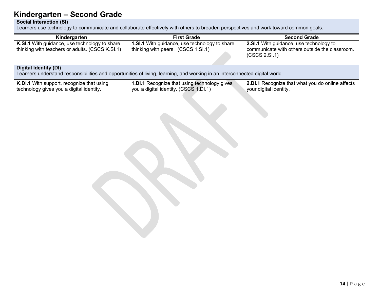#### **Social Interaction (SI)**

Learners use technology to communicate and collaborate effectively with others to broaden perspectives and work toward common goals.

| Kindergarten                                                                                                                                         | <b>First Grade</b>                                                                           | <b>Second Grade</b>                                                                                        |  |
|------------------------------------------------------------------------------------------------------------------------------------------------------|----------------------------------------------------------------------------------------------|------------------------------------------------------------------------------------------------------------|--|
| K.SI.1 With guidance, use technology to share<br>thinking with teachers or adults. (CSCS K.SI.1)                                                     | <b>1.SI.1</b> With guidance, use technology to share<br>thinking with peers. (CSCS 1.SI.1)   | 2.SI.1 With guidance, use technology to<br>communicate with others outside the classroom.<br>(CSCS 2.SI.1) |  |
| Digital Identity (DI)<br>Learners understand responsibilities and opportunities of living, learning, and working in an interconnected digital world. |                                                                                              |                                                                                                            |  |
| K.DI.1 With support, recognize that using<br>technology gives you a digital identity.                                                                | <b>1.DI.1</b> Recognize that using technology gives<br>you a digital identity. (CSCS 1.DI.1) | 2.DI.1 Recognize that what you do online affects<br>your digital identity.                                 |  |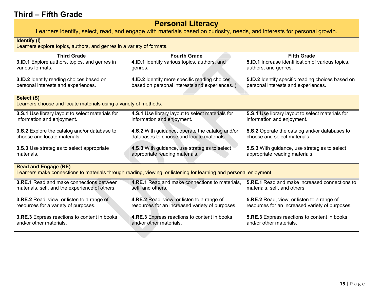## **Personal Literacy**

<span id="page-14-0"></span>Learners identify, select, read, and engage with materials based on curiosity, needs, and interests for personal growth.

#### **Identify (I)** Learners explore topics, authors, and genres in a variety of formats. **Third Grade Fourth Grade Fifth Grade 3.ID.1** Explore authors, topics, and genres in various formats. **4.ID.1** Identify various topics, authors, and genres. **5.ID.1** Increase identification of various topics, authors, and genres. **3.ID.2** Identify reading choices based on personal interests and experiences. **4.ID.2** Identify more specific reading choices based on personal interests and experiences. ) **5.ID.2** Identify specific reading choices based on personal interests and experiences. **Select (S)** Learners choose and locate materials using a variety of methods. **3.S.1** Use library layout to select materials for information and enjoyment. **4.S.1** Use library layout to select materials for information and enjoyment. **5.S.1** Use library layout to select materials for information and enjoyment. **3.S.2** Explore the catalog and/or database to choose and locate materials. **4.S.2** With guidance, operate the catalog and/or databases to choose and locate materials. **5.S.2** Operate the catalog and/or databases to choose and select materials. **3.S.3** Use strategies to select appropriate materials. **4.S.3** With guidance, use strategies to select appropriate reading materials. **5.S.3** With guidance, use strategies to select appropriate reading materials. **Read and Engage (RE)** Learners make connections to materials through reading, viewing, or listening for learning and personal enjoyment. **3.RE.1** Read and make connections between materials, self, and the experience of others. **4.RE.1** Read and make connections to materials, self, and others. **5.RE.1** Read and make increased connections to materials, self, and others. **3.RE.2** Read, view, or listen to a range of resources for a variety of purposes. **4.RE.2** Read, view, or listen to a range of resources for an increased variety of purposes. **5.RE.2** Read, view, or listen to a range of resources for an increased variety of purposes. **3.RE.3** Express reactions to content in books and/or other materials. **4.RE.3** Express reactions to content in books and/or other materials. **5.RE.3** Express reactions to content in books and/or other materials.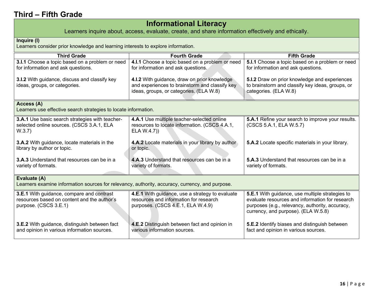## **Informational Literacy**

Learners inquire about, access, evaluate, create, and share information effectively and ethically.

#### **Inquire (I)**

Learners consider prior knowledge and learning interests to explore information.

| <b>Third Grade</b>                                                                              | <b>Fourth Grade</b>                              | <b>Fifth Grade</b>                                       |  |
|-------------------------------------------------------------------------------------------------|--------------------------------------------------|----------------------------------------------------------|--|
| 3.I.1 Choose a topic based on a problem or need                                                 | 4.I.1 Choose a topic based on a problem or need  | 5.I.1 Choose a topic based on a problem or need          |  |
| for information and ask questions.                                                              | for information and ask questions.               | for information and ask questions.                       |  |
|                                                                                                 |                                                  |                                                          |  |
| <b>3.I.2</b> With guidance, discuss and classify key                                            | 4.I.2 With guidance, draw on prior knowledge     | <b>5.I.2</b> Draw on prior knowledge and experiences     |  |
| ideas, groups, or categories.                                                                   | and experiences to brainstorm and classify key   | to brainstorm and classify key ideas, groups, or         |  |
|                                                                                                 | ideas, groups, or categories. (ELA W.8)          | categories. (ELA W.8)                                    |  |
|                                                                                                 |                                                  |                                                          |  |
| Access (A)                                                                                      |                                                  |                                                          |  |
| Learners use effective search strategies to locate information.                                 |                                                  |                                                          |  |
| <b>3.A.1</b> Use basic search strategies with teacher-                                          | 4.A.1 Use multiple teacher-selected online       | <b>5.A.1</b> Refine your search to improve your results. |  |
| selected online sources. (CSCS 3.A.1, ELA                                                       | resources to locate information. (CSCS 4.A.1,    | (CSCS 5.A.1, ELA W.5.7)                                  |  |
| W.3.7)                                                                                          | ELA W.4.7)                                       |                                                          |  |
|                                                                                                 |                                                  |                                                          |  |
| <b>3.A.2</b> With guidance, locate materials in the                                             | 4.A.2 Locate materials in your library by author | <b>5.A.2</b> Locate specific materials in your library.  |  |
| library by author or topic.                                                                     | or topic.                                        |                                                          |  |
|                                                                                                 |                                                  |                                                          |  |
| <b>3.A.3</b> Understand that resources can be in a                                              | 4.A.3 Understand that resources can be in a      | <b>5.A.3</b> Understand that resources can be in a       |  |
| variety of formats.                                                                             | variety of formats.                              | variety of formats.                                      |  |
|                                                                                                 |                                                  |                                                          |  |
| Evaluate (A)                                                                                    |                                                  |                                                          |  |
| Learners examine information sources for relevancy, authority, accuracy, currency, and purpose. |                                                  |                                                          |  |
| <b>3.E.1</b> With guidance, compare and contrast                                                | 4.E.1 With guidance, use a strategy to evaluate  | 5.E.1 With guidance, use multiple strategies to          |  |
| resources based on content and the author's                                                     | resources and information for research           | evaluate resources and information for research          |  |
| purpose. (CSCS 3.E.1)                                                                           | purposes. (CSCS 4.E.1, ELA W.4.9)                | purposes (e.g., relevancy, authority, accuracy,          |  |
|                                                                                                 |                                                  | currency, and purpose). (ELA W.5.8)                      |  |
|                                                                                                 |                                                  |                                                          |  |
| 3.E.2 With guidance, distinguish between fact                                                   | 4.E.2 Distinguish between fact and opinion in    | <b>5.E.2</b> Identify biases and distinguish between     |  |
| and opinion in various information sources.                                                     | various information sources.                     | fact and opinion in various sources.                     |  |
|                                                                                                 |                                                  |                                                          |  |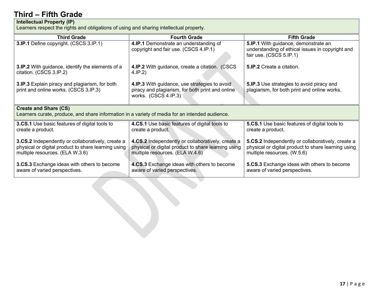#### **Intellectual Property (IP)**

Learners respect the rights and obligations of using and sharing intellectual property.

| <b>Third Grade</b>                                                                                                                                 | <b>Fourth Grade</b>                                                                                                                         | <b>Fifth Grade</b>                                                                                                                      |  |
|----------------------------------------------------------------------------------------------------------------------------------------------------|---------------------------------------------------------------------------------------------------------------------------------------------|-----------------------------------------------------------------------------------------------------------------------------------------|--|
| 3.IP.1 Define copyright. (CSCS 3.IP.1)                                                                                                             | 4.IP.1 Demonstrate an understanding of<br>copyright and fair use. (CSCS 4.IP.1)                                                             | 5.IP.1 With guidance, demonstrate an<br>understanding of ethical issues in copyright and<br>fair use. (CSCS 5.IP.1)                     |  |
| <b>3.IP.2</b> With guidance, identify the elements of a<br>citation. (CSCS 3.IP.2)                                                                 | <b>4.IP.2</b> With guidance, create a citation. (CSCS<br>4.IP.2)                                                                            | <b>5.IP.2</b> Create a citation.                                                                                                        |  |
| <b>3.IP.3</b> Explain piracy and plagiarism, for both<br>print and online works. (CSCS 3.IP.3)                                                     | 4.IP.3 With guidance, use strategies to avoid<br>piracy and plagiarism, for both print and online<br>works. (CSCS 4.IP.3)                   | 5.IP.3 Use strategies to avoid piracy and<br>plagiarism, for both print and online works.                                               |  |
| <b>Create and Share (CS)</b><br>Learners curate, produce, and share information in a variety of media for an intended audience.                    |                                                                                                                                             |                                                                                                                                         |  |
| <b>3.CS.1</b> Use basic features of digital tools to<br>create a product.                                                                          | 4.CS.1 Use basic features of digital tools to<br>create a product.                                                                          | <b>5.CS.1</b> Use basic features of digital tools to<br>create a product.                                                               |  |
| <b>3.CS.2</b> Independently or collaboratively, create a<br>physical or digital product to share learning using<br>multiple resources. (ELA W.3.6) | 4.CS.2 Independently or collaboratively, create a<br>physical or digital product to share learning using<br>multiple resources. (ELA W.4.6) | 5.CS.2 Independently or collaboratively, create a<br>physical or digital product to share learning using<br>multiple resources. (W.5.6) |  |
| 3.CS.3 Exchange ideas with others to become<br>aware of varied perspectives.                                                                       | 4.CS.3 Exchange ideas with others to become<br>aware of varied perspectives.                                                                | <b>5.CS.3</b> Exchange ideas with others to become<br>aware of varied perspectives.                                                     |  |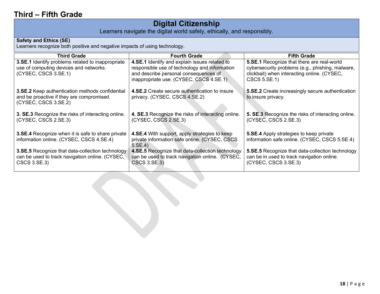## **Digital Citizenship**

Learners navigate the digital world safely, ethically, and responsibly.

#### **Safety and Ethics (SE)**

Learners recognize both positive and negative impacts of using technology.

| <b>Third Grade</b>                                                                                                          | <b>Fourth Grade</b>                                                                                                                                                                | <b>Fifth Grade</b>                                                                                                                                            |
|-----------------------------------------------------------------------------------------------------------------------------|------------------------------------------------------------------------------------------------------------------------------------------------------------------------------------|---------------------------------------------------------------------------------------------------------------------------------------------------------------|
| 3.SE.1 Identify problems related to inappropriate<br>use of computing devices and networks.<br>(CYSEC, CSCS 3.SE.1)         | 4.SE.1 Identify and explain issues related to<br>responsible use of technology and information<br>and describe personal consequences of<br>inappropriate use. (CYSEC, CSCS 4.SE.1) | 5.SE.1 Recognize that there are real-world<br>cybersecurity problems (e.g., phishing, malware,<br>clickbait) when interacting online. (CYSEC,<br>CSCS 5.SE.1) |
| <b>3.SE.2</b> Keep authentication methods confidential<br>and be proactive if they are compromised.<br>(CYSEC, CSCS 3.SE.2) | <b>4.SE.2</b> Create secure authentication to insure<br>privacy. (CYSEC, CSCS 4.SE.2)                                                                                              | <b>5.SE.2</b> Create increasingly secure authentication<br>to insure privacy.                                                                                 |
| 3. SE.3 Recognize the risks of interacting online.<br>(CYSEC, CSCS 2.SE.3)                                                  | 4. SE.3 Recognize the risks of interacting online.<br>(CYSEC, CSCS 2.SE.3)                                                                                                         | 5. SE.3 Recognize the risks of interacting online.<br>(CYSEC, CSCS 2.SE.3)                                                                                    |
| <b>3.SE.4</b> Recognize when it is safe to share private<br>information online. (CYSEC, CSCS 4.SE.4)                        | <b>4.SE.4</b> With support, apply strategies to keep<br>private information safe online. (CYSEC, CSCS<br>5.SE.4                                                                    | <b>5.SE.4</b> Apply strategies to keep private<br>information safe online. (CYSEC, CSCS 5.SE.4)                                                               |
| 3.SE.5 Recognize that data-collection technology<br>can be used to track navigation online. (CYSEC,<br>CSCS 3.SE.3)         | 4.SE.5 Recognize that data-collection technology<br>can be used to track navigation online. (CYSEC,<br>CSCS 3.SE.3)                                                                | 5.SE.5 Recognize that data-collection technology<br>can be in used to track navigation online.<br>(CYSEC, CSCS 3.SE.3)                                        |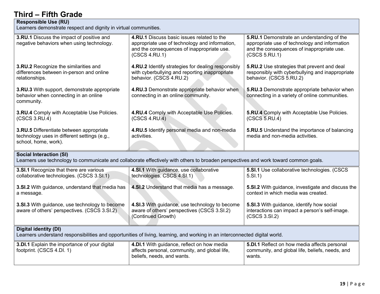#### **Responsible Use (RU)**

Learners demonstrate respect and dignity in virtual communities.

| 3.RU.1 Discuss the impact of positive and<br>negative behaviors when using technology.                                                                                 | 4.RU.1 Discuss basic issues related to the<br>appropriate use of technology and information,<br>and the consequences of inappropriate use.<br>(CSCS 4.RU.1) | <b>5.RU.1</b> Demonstrate an understanding of the<br>appropriate use of technology and information<br>and the consequences of inappropriate use.<br>(CSCS 5.RU.1) |
|------------------------------------------------------------------------------------------------------------------------------------------------------------------------|-------------------------------------------------------------------------------------------------------------------------------------------------------------|-------------------------------------------------------------------------------------------------------------------------------------------------------------------|
| <b>3.RU.2</b> Recognize the similarities and<br>differences between in-person and online<br>relationships.                                                             | 4.RU.2 Identify strategies for dealing responsibly<br>with cyberbullying and reporting inappropriate<br>behavior. (CSCS 4.RU.2)                             | <b>5.RU.2</b> Use strategies that prevent and deal<br>responsibly with cyberbullying and inappropriate<br>behavior. (CSCS 5.RU.2)                                 |
| 3.RU.3 With support, demonstrate appropriate<br>behavior when connecting in an online<br>community.                                                                    | 4.RU.3 Demonstrate appropriate behavior when<br>connecting in an online community.                                                                          | 5.RU.3 Demonstrate appropriate behavior when<br>connecting in a variety of online communities.                                                                    |
| 3.RU.4 Comply with Acceptable Use Policies.<br>(CSCS 3.RU.4)                                                                                                           | 4.RU.4 Comply with Acceptable Use Policies.<br>(CSCS 4.RU.4)                                                                                                | <b>5.RU.4</b> Comply with Acceptable Use Policies.<br>(CSCS 5.RU.4)                                                                                               |
| 3.RU.5 Differentiate between appropriate<br>technology uses in different settings (e.g.,<br>school, home, work).                                                       | 4.RU.5 Identify personal media and non-media<br>activities.                                                                                                 | <b>5.RU.5</b> Understand the importance of balancing<br>media and non-media activities.                                                                           |
| <b>Social Interaction (SI)</b><br>Learners use technology to communicate and collaborate effectively with others to broaden perspectives and work toward common goals. |                                                                                                                                                             |                                                                                                                                                                   |
|                                                                                                                                                                        |                                                                                                                                                             |                                                                                                                                                                   |
| 3.SI.1 Recognize that there are various<br>collaborative technologies. (CSCS 3.SI.1)                                                                                   | 4.SI.1 With guidance, use collaborative<br>technologies. CSCS 4.SI.1)                                                                                       | <b>5.SI.1</b> Use collaborative technologies. (CSCS<br>5.SI.1)                                                                                                    |
| 3.SI.2 With guidance, understand that media has<br>a message.                                                                                                          | 4.SI.2 Understand that media has a message.                                                                                                                 | 5.SI.2 With guidance, investigate and discuss the<br>context in which media was created.                                                                          |
| 3.SI.3 With guidance, use technology to become<br>aware of others' perspectives. (CSCS 3.SI.2)                                                                         | 4.SI.3 With guidance, use technology to become<br>aware of others' perspectives (CSCS 3.SI.2)<br>(Continued Growth)                                         | 5.SI.3 With guidance, identify how social<br>interactions can impact a person's self-image.<br>(CSCS 3.SI.2)                                                      |
| <b>Digital identity (DI)</b>                                                                                                                                           | Learners understand responsibilities and opportunities of living, learning, and working in an interconnected digital world.                                 | 5.DI.1 Reflect on how media affects personal                                                                                                                      |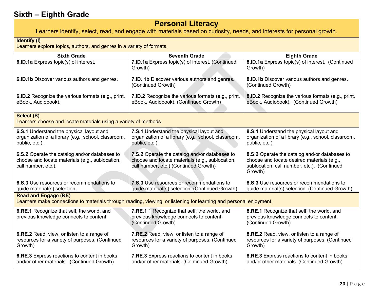## **Personal Literacy**

Learners identify, select, read, and engage with materials based on curiosity, needs, and interests for personal growth.

#### <span id="page-19-0"></span>**Identify (I)**

Learners explore topics, authors, and genres in a variety of formats.

| <b>Sixth Grade</b>                                                                                                      | <b>Seventh Grade</b>                                                                                                                      | <b>Eighth Grade</b>                                                                                                                                   |
|-------------------------------------------------------------------------------------------------------------------------|-------------------------------------------------------------------------------------------------------------------------------------------|-------------------------------------------------------------------------------------------------------------------------------------------------------|
| 6.ID.1a Express topic(s) of interest.                                                                                   | 7.ID.1a Express topic(s) of interest. (Continued<br>Growth)                                                                               | 8.ID.1a Express topic(s) of interest. (Continued<br>Growth)                                                                                           |
| 6.ID.1b Discover various authors and genres.                                                                            | 7.ID. 1b Discover various authors and genres.<br>(Continued Growth)                                                                       | 8.ID.1b Discover various authors and genres.<br>(Continued Growth)                                                                                    |
| <b>6.ID.2</b> Recognize the various formats (e.g., print,<br>eBook, Audiobook).                                         | <b>7.ID.2</b> Recognize the various formats (e.g., print,<br>eBook, Audiobook). (Continued Growth).                                       | 8.ID.2 Recognize the various formats (e.g., print,<br>eBook, Audiobook). (Continued Growth)                                                           |
| Select (S)<br>Learners choose and locate materials using a variety of methods.                                          |                                                                                                                                           |                                                                                                                                                       |
| 6.S.1 Understand the physical layout and<br>organization of a library (e.g., school, classroom,<br>public, etc.).       | 7.S.1 Understand the physical layout and<br>organization of a library (e.g., school, classroom,<br>public, etc.).                         | 8.S.1 Understand the physical layout and<br>organization of a library (e.g., school, classroom,<br>public, etc.).                                     |
| 6.S.2 Operate the catalog and/or databases to<br>choose and locate materials (e.g., sublocation,<br>call number, etc.). | 7.S.2 Operate the catalog and/or databases to<br>choose and locate materials (e.g., sublocation,<br>call number, etc.) (Continued Growth) | 8.S.2 Operate the catalog and/or databases to<br>choose and locate desired materials (e.g.,<br>sublocation, call number, etc.). (Continued<br>Growth) |
| 6.S.3 Use resources or recommendations to<br>guide material(s) selection.                                               | 7.S.3 Use resources or recommendations to<br>guide material(s) selection. (Continued Growth)                                              | 8.S.3 Use resources or recommendations to<br>guide material(s) selection. (Continued Growth)                                                          |
| <b>Read and Engage (RE)</b>                                                                                             | Learners make connections to materials through reading, viewing, or listening for learning and personal enjoyment.                        |                                                                                                                                                       |
| 6.RE.1 Recognize that self, the world, and<br>previous knowledge connects to content.                                   | 7.RE.1 1 Recognize that self, the world, and<br>previous knowledge connects to content.<br>(Continued Growth)                             | 8.RE.1 Recognize that self, the world, and<br>previous knowledge connects to content.<br>(Continued Growth)                                           |
| 6.RE.2 Read, view, or listen to a range of<br>resources for a variety of purposes. (Continued<br>Growth)                | 7.RE.2 Read, view, or listen to a range of<br>resources for a variety of purposes. (Continued<br>Growth)                                  | 8.RE.2 Read, view, or listen to a range of<br>resources for a variety of purposes. (Continued<br>Growth)                                              |
| 6.RE.3 Express reactions to content in books<br>and/or other materials. (Continued Growth)                              | 7.RE.3 Express reactions to content in books<br>and/or other materials. (Continued Growth)                                                | 8.RE.3 Express reactions to content in books<br>and/or other materials. (Continued Growth)                                                            |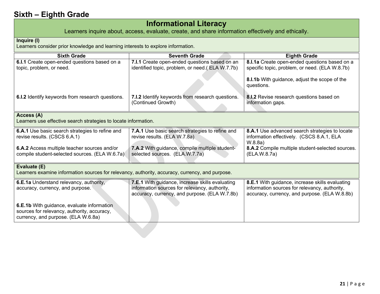## **Informational Literacy**

Learners inquire about, access, evaluate, create, and share information effectively and ethically.

#### **Inquire (I)**

Learners consider prior knowledge and learning interests to explore information.

| <b>Sixth Grade</b>                                                                              | <b>Seventh Grade</b>                             | <b>Eighth Grade</b>                              |
|-------------------------------------------------------------------------------------------------|--------------------------------------------------|--------------------------------------------------|
| 6.I.1 Create open-ended questions based on a                                                    | 7.I.1 Create open-ended questions based on an    | 8.I.1a Create open-ended questions based on a    |
| topic, problem, or need.                                                                        | identified topic, problem, or need.(ELA W.7.7b)  | specific topic, problem, or need. (ELA W.8.7b)   |
|                                                                                                 |                                                  |                                                  |
|                                                                                                 |                                                  | 8.I.1b With guidance, adjust the scope of the    |
|                                                                                                 |                                                  | questions.                                       |
| 6.I.2 Identify keywords from research questions.                                                | 7.I.2 Identify keywords from research questions. | 8.I.2 Revise research questions based on         |
|                                                                                                 | (Continued Growth)                               | information gaps.                                |
|                                                                                                 |                                                  |                                                  |
| Access (A)                                                                                      |                                                  |                                                  |
| Learners use effective search strategies to locate information.                                 |                                                  |                                                  |
| 6.A.1 Use basic search strategies to refine and                                                 | 7.A.1 Use basic search strategies to refine and  | 8.A.1 Use advanced search strategies to locate   |
| revise results. (CSCS 6.A.1)                                                                    | revise results. (ELA W.7.8a)                     | information effectively. (CSCS 8.A.1, ELA        |
|                                                                                                 |                                                  | W.8.8a)                                          |
| 6.A.2 Access multiple teacher sources and/or                                                    | 7.A.2 With guidance, compile multiple student-   | 8.A.2 Compile multiple student-selected sources. |
| compile student-selected sources. (ELA W.6.7a)                                                  | selected sources. (ELA.W.7.7a)                   | (ELA.W.8.7a)                                     |
|                                                                                                 |                                                  |                                                  |
| Evaluate (E)                                                                                    |                                                  |                                                  |
| Learners examine information sources for relevancy, authority, accuracy, currency, and purpose. |                                                  |                                                  |
| 6.E.1a Understand relevancy, authority,                                                         | 7.E.1 With guidance, increase skills evaluating  | 8.E.1 With guidance, increase skills evaluating  |
| accuracy, currency, and purpose.                                                                | information sources for relevancy, authority,    | information sources for relevancy, authority,    |
|                                                                                                 | accuracy, currency, and purpose. (ELA W.7.8b)    | accuracy, currency, and purpose. (ELA W.8.8b)    |
|                                                                                                 |                                                  |                                                  |
| <b>6.E.1b</b> With guidance, evaluate information                                               |                                                  |                                                  |
| sources for relevancy, authority, accuracy,                                                     |                                                  |                                                  |
| currency, and purpose. (ELA W.6.8a)                                                             |                                                  |                                                  |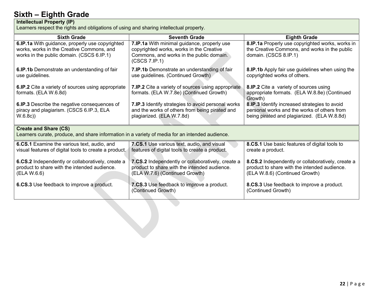#### **Intellectual Property (IP)**

Learners respect the rights and obligations of using and sharing intellectual property.

| <b>Sixth Grade</b>                                                                                                                        | <b>Seventh Grade</b>                                                                                                                                 | <b>Eighth Grade</b>                                                                                                                         |
|-------------------------------------------------------------------------------------------------------------------------------------------|------------------------------------------------------------------------------------------------------------------------------------------------------|---------------------------------------------------------------------------------------------------------------------------------------------|
| 6.IP.1a With guidance, properly use copyrighted<br>works, works in the Creative Commons, and<br>works in the public domain. (CSCS 6.IP.1) | 7.IP.1a With minimal guidance, properly use<br>copyrighted works, works in the Creative<br>Commons, and works in the public domain.<br>(CSCS 7.IP.1) | 8.IP.1a Properly use copyrighted works, works in<br>the Creative Commons, and works in the public<br>domain. (CSCS 8.IP.1)                  |
| 6.IP.1b Demonstrate an understanding of fair<br>use guidelines.                                                                           | 7.IP.1b Demonstrate an understanding of fair<br>use guidelines. (Continued Growth)                                                                   | 8.IP.1b Apply fair use guidelines when using the<br>copyrighted works of others.                                                            |
| 6.IP.2 Cite a variety of sources using appropriate<br>formats. (ELA W.6.8d)                                                               | 7.IP.2 Cite a variety of sources using appropriate<br>formats. (ELA W.7.8e) (Continued Growth)                                                       | 8.IP.2 Cite a variety of sources using<br>appropriate formats. (ELA W.8.8e) (Continued<br>Growth)                                           |
| 6.IP.3 Describe the negative consequences of<br>piracy and plagiarism. (CSCS 6.IP.3, ELA<br>W.6.8c)                                       | 7.IP.3 Identify strategies to avoid personal works<br>and the works of others from being pirated and<br>plagiarized. (ELA W.7.8d)                    | 8.IP.3 Identify increased strategies to avoid<br>personal works and the works of others from<br>being pirated and plagiarized. (ELA W.8.8d) |
| <b>Create and Share (CS)</b><br>Learners curate, produce, and share information in a variety of media for an intended audience.           |                                                                                                                                                      |                                                                                                                                             |
| 6.CS.1 Examine the various text, audio, and<br>visual features of digital tools to create a product.                                      | 7.CS.1 Use various text, audio, and visual<br>features of digital tools to create a product.                                                         | 8.CS.1 Use basic features of digital tools to<br>create a product.                                                                          |
| 6.CS.2 Independently or collaboratively, create a<br>product to share with the intended audience.<br>(ELA W.6.6)                          | 7.CS.2 Independently or collaboratively, create a<br>product to share with the intended audience.<br>(ELA W.7.6) (Continued Growth)                  | 8.CS.2 Independently or collaboratively, create a<br>product to share with the intended audience.<br>(ELA W.8.6) (Continued Growth)         |
| 6.CS.3 Use feedback to improve a product.                                                                                                 | 7.CS.3 Use feedback to improve a product.<br>(Continued Growth)                                                                                      | 8.CS.3 Use feedback to improve a product.<br>(Continued Growth)                                                                             |
|                                                                                                                                           |                                                                                                                                                      |                                                                                                                                             |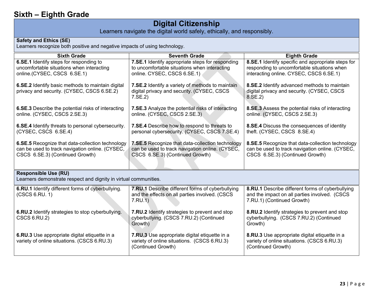## **Digital Citizenship**

Learners navigate the digital world safely, ethically, and responsibly.

#### **Safety and Ethics (SE)**

Learners recognize both positive and negative impacts of using technology.

| <b>Sixth Grade</b>                                                                                                                     | <b>Seventh Grade</b>                                                                                                                   | <b>Eighth Grade</b>                                                                                                                          |
|----------------------------------------------------------------------------------------------------------------------------------------|----------------------------------------------------------------------------------------------------------------------------------------|----------------------------------------------------------------------------------------------------------------------------------------------|
| 6.SE.1 Identify steps for responding to<br>uncomfortable situations when interacting<br>online.(CYSEC, CSCS 6.SE.1)                    | 7.SE.1 Identify appropriate steps for responding<br>to uncomfortable situations when interacting<br>online. CYSEC, CSCS 6.SE.1)        | 8.SE.1 Identify specific and appropriate steps for<br>responding to uncomfortable situations when<br>interacting online. CYSEC, CSCS 6.SE.1) |
| 6.SE.2 Identify basic methods to maintain digital<br>privacy and security. (CYSEC, CSCS 6.SE.2)                                        | 7.SE.2 Identify a variety of methods to maintain<br>digital privacy and security. (CYSEC, CSCS<br>7.SE.2                               | 8.SE.2 Identify advanced methods to maintain<br>digital privacy and security. (CYSEC, CSCS<br>8.SE.2)                                        |
| <b>6.SE.3</b> Describe the potential risks of interacting<br>online. (CYSEC, CSCS 2.SE.3)                                              | <b>7.SE.3</b> Analyze the potential risks of interacting<br>online. (CYSEC, CSCS 2.SE.3)                                               | 8.SE.3 Assess the potential risks of interacting<br>online. (CYSEC, CSCS 2.SE.3)                                                             |
| 6.SE.4 Identify threats to personal cybersecurity.<br>(CYSEC, CSCS 6.SE.4)                                                             | 7.SE.4 Describe how to respond to threats to<br>personal cybersecurity. (CYSEC, CSCS 7.SE.4)                                           | 8.SE.4 Discuss the consequences of identity<br>theft. (CYSEC, CSCS 8.SE.4)                                                                   |
| 6.SE.5 Recognize that data-collection technology<br>can be used to track navigation online. (CYSEC,<br>CSCS 6.SE.3) (Continued Growth) | 7.SE.5 Recognize that data-collection technology<br>can be used to track navigation online. (CYSEC,<br>CSCS 6.SE.3) (Continued Growth) | 8.SE.5 Recognize that data-collection technology<br>can be used to track navigation online. (CYSEC,<br>CSCS 6.SE.3) (Continued Growth)       |
| <b>Responsible Use (RU)</b><br>Learners demonstrate respect and dignity in virtual communities.                                        |                                                                                                                                        |                                                                                                                                              |
| 6.RU.1 Identify different forms of cyberbullying.<br>(CSCS 6.RU. 1)                                                                    | 7.RU.1 Describe different forms of cyberbullying<br>and the effects on all parties involved. (CSCS<br>7.RU.1)                          | 8.RU.1 Describe different forms of cyberbullying<br>and the impact on all parties involved. (CSCS<br>7.RU.1) (Continued Growth)              |
| <b>6.RU.2</b> Identify strategies to stop cyberbullying.<br><b>CSCS 6.RU.2)</b>                                                        | 7.RU.2 Identify strategies to prevent and stop<br>cyberbullying. (CSCS 7.RU.2) (Continued<br>Growth)                                   | 8.RU.2 Identify strategies to prevent and stop<br>cyberbullying. (CSCS 7.RU.2) (Continued<br>Growth)                                         |
| 6.RU.3 Use appropriate digital etiquette in a<br>variety of online situations. (CSCS 6.RU.3)                                           | <b>7.RU.3</b> Use appropriate digital etiquette in a<br>variety of online situations. (CSCS 6.RU.3)<br>(Continued Growth)              | 8.RU.3 Use appropriate digital etiquette in a<br>variety of online situations. (CSCS 6.RU.3)<br>(Continued Growth)                           |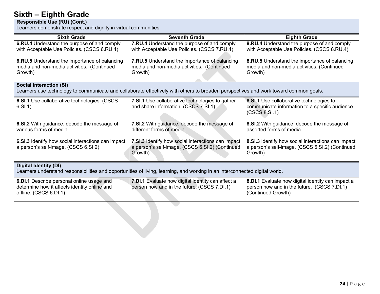#### **Responsible Use (RU) (Cont.)**

Learners demonstrate respect and dignity in virtual communities.

| <b>Sixth Grade</b>                                                                                                  | <b>Seventh Grade</b>                                                                                                                 | <b>Eighth Grade</b>                                                                                                    |
|---------------------------------------------------------------------------------------------------------------------|--------------------------------------------------------------------------------------------------------------------------------------|------------------------------------------------------------------------------------------------------------------------|
| 6.RU.4 Understand the purpose of and comply<br>with Acceptable Use Policies. (CSCS 6.RU.4)                          | 7.RU.4 Understand the purpose of and comply<br>with Acceptable Use Policies. (CSCS 7.RU.4)                                           | 8.RU.4 Understand the purpose of and comply<br>with Acceptable Use Policies. (CSCS 8.RU.4)                             |
| 6.RU.5 Understand the importance of balancing<br>media and non-media activities. (Continued<br>Growth)              | <b>7.RU.5</b> Understand the importance of balancing<br>media and non-media activities. (Continued<br>Growth)                        | 8.RU.5 Understand the importance of balancing<br>media and non-media activities. (Continued<br>Growth)                 |
| <b>Social Interaction (SI)</b>                                                                                      | Learners use technology to communicate and collaborate effectively with others to broaden perspectives and work toward common goals. |                                                                                                                        |
| 6.SI.1 Use collaborative technologies. (CSCS<br>6.SI.1)                                                             | <b>7.SI.1</b> Use collaborative technologies to gather<br>and share information. (CSCS 7.SI.1)                                       | 8.SI.1 Use collaborative technologies to<br>communicate information to a specific audience.<br>(CSCS 8.SI.1)           |
| 6.SI.2 With guidance, decode the message of<br>various forms of media.                                              | 7.SI.2 With guidance, decode the message of<br>different forms of media.                                                             | 8.SI.2 With guidance, decode the message of<br>assorted forms of media.                                                |
| 6.SI.3 Identify how social interactions can impact<br>a person's self-image. (CSCS 6.SI.2)                          | 7.SI.3 Identify how social interactions can impact<br>a person's self-image. (CSCS 6.SI.2) (Continued<br>Growth)                     | 8.SI.3 Identify how social interactions can impact<br>a person's self-image. (CSCS 6.SI.2) (Continued<br>Growth)       |
| <b>Digital Identity (DI)</b>                                                                                        | Learners understand responsibilities and opportunities of living, learning, and working in an interconnected digital world.          |                                                                                                                        |
| 6.DI.1 Describe personal online usage and<br>determine how it affects identity online and<br>offline. (CSCS 6.DI.1) | 7.DI.1 Evaluate how digital identity can affect a<br>person now and in the future. (CSCS 7.DI.1)                                     | 8.DI.1 Evaluate how digital identity can impact a<br>person now and in the future. (CSCS 7.DI.1)<br>(Continued Growth) |
|                                                                                                                     |                                                                                                                                      |                                                                                                                        |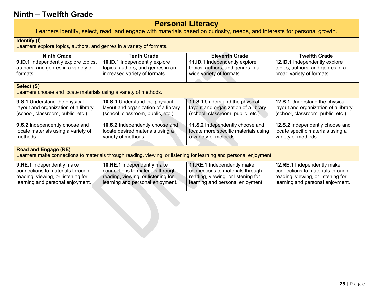## **Personal Literacy**

Learners identify, select, read, and engage with materials based on curiosity, needs, and interests for personal growth.

#### <span id="page-24-0"></span>**Identify (I)**

Learners explore topics, authors, and genres in a variety of formats.

| <b>Ninth Grade</b>                                               | <b>Tenth Grade</b>                   | <b>Eleventh Grade</b>                                                                                              | <b>Twelfth Grade</b>                  |
|------------------------------------------------------------------|--------------------------------------|--------------------------------------------------------------------------------------------------------------------|---------------------------------------|
| 9.ID.1 Independently explore topics,                             | 10.ID.1 Independently explore        | 11.ID.1 Independently explore                                                                                      | 12.ID.1 Independently explore         |
| authors, and genres in a variety of                              | topics, authors, and genres in an    | topics, authors, and genres in a                                                                                   | topics, authors, and genres in a      |
| formats.                                                         | increased variety of formats.        | wide variety of formats.                                                                                           | broad variety of formats.             |
|                                                                  |                                      |                                                                                                                    |                                       |
| Select (S)                                                       |                                      |                                                                                                                    |                                       |
| Learners choose and locate materials using a variety of methods. |                                      |                                                                                                                    |                                       |
| 9.S.1 Understand the physical                                    | 10.S.1 Understand the physical       | 11.S.1 Understand the physical                                                                                     | <b>12.S.1</b> Understand the physical |
| layout and organization of a library                             | layout and organization of a library | layout and organization of a library                                                                               | layout and organization of a library  |
| (school, classroom, public, etc.).                               | (school, classroom, public, etc.).   | (school, classroom, public, etc.).                                                                                 | (school, classroom, public, etc.).    |
|                                                                  |                                      |                                                                                                                    |                                       |
| 9.S.2 Independently choose and                                   | 10.S.2 Independently choose and      | 11.S.2 Independently choose and                                                                                    | 12.S.2 Independently choose and       |
| locate materials using a variety of                              | locate desired materials using a     | locate more specific materials using                                                                               | locate specific materials using a     |
| methods.                                                         | variety of methods.                  | a variety of methods.                                                                                              | variety of methods.                   |
|                                                                  |                                      |                                                                                                                    |                                       |
| <b>Read and Engage (RE)</b>                                      |                                      |                                                                                                                    |                                       |
|                                                                  |                                      | Learners make connections to materials through reading, viewing, or listening for learning and personal enjoyment. |                                       |
| 9.RE.1 Independently make                                        | 10.RE.1 Independently make           | 11.RE.1 Independently make                                                                                         | 12.RE.1 Independently make            |
| connections to materials through                                 | connections to materials through     | connections to materials through                                                                                   | connections to materials through      |
| reading, viewing, or listening for                               | reading, viewing, or listening for   | reading, viewing, or listening for                                                                                 | reading, viewing, or listening for    |
| learning and personal enjoyment.                                 | learning and personal enjoyment.     | learning and personal enjoyment.                                                                                   | learning and personal enjoyment.      |
|                                                                  |                                      |                                                                                                                    |                                       |
|                                                                  |                                      |                                                                                                                    |                                       |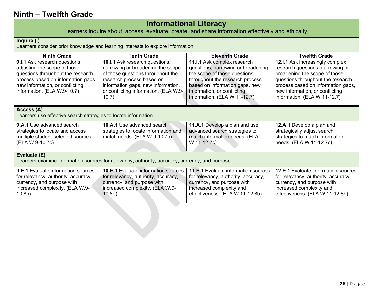## **Informational Literacy**

Learners inquire about, access, evaluate, create, and share information effectively and ethically.

#### **Inquire (I)**

Learners consider prior knowledge and learning interests to explore information.

| <b>Ninth Grade</b>                                                                                                                                                                                         | <b>Tenth Grade</b>                                                                                                                                                                                                            | <b>Eleventh Grade</b>                                                                                                                                                                                                                 | <b>Twelfth Grade</b>                                                                                                                                                                                                                               |
|------------------------------------------------------------------------------------------------------------------------------------------------------------------------------------------------------------|-------------------------------------------------------------------------------------------------------------------------------------------------------------------------------------------------------------------------------|---------------------------------------------------------------------------------------------------------------------------------------------------------------------------------------------------------------------------------------|----------------------------------------------------------------------------------------------------------------------------------------------------------------------------------------------------------------------------------------------------|
| 9.I.1 Ask research questions,<br>adjusting the scope of those<br>questions throughout the research<br>process based on information gaps,<br>new information, or conflicting<br>information. (ELA W.9-10.7) | 10.I.1 Ask research questions,<br>narrowing or broadening the scope<br>of those questions throughout the<br>research process based on<br>information gaps, new information,<br>or conflicting information. (ELA W.9-<br>10.7) | 11.I.1 Ask complex research<br>questions, narrowing or broadening<br>the scope of those questions<br>throughout the research process<br>based on information gaps, new<br>information, or conflicting<br>information. (ELA W.11-12.7) | 12.I.1 Ask increasingly complex<br>research questions, narrowing or<br>broadening the scope of those<br>questions throughout the research<br>process based on information gaps,<br>new information, or conflicting<br>information. (ELA W.11-12.7) |
| Access (A)<br>Learners use effective search strategies to locate information.                                                                                                                              |                                                                                                                                                                                                                               |                                                                                                                                                                                                                                       |                                                                                                                                                                                                                                                    |
| <b>9.A.1</b> Use advanced search<br>strategies to locate and access<br>multiple student-selected sources.<br>(ELA W.9-10.7c)                                                                               | 10.A.1 Use advanced search<br>strategies to locate information and<br>match needs. (ELA W.9-10.7c)                                                                                                                            | 11.A.1 Develop a plan and use<br>advanced search strategies to<br>match information needs. (ELA<br>W.11-12.7c)                                                                                                                        | 12.A.1 Develop a plan and<br>strategically adjust search<br>strategies to match information<br>needs. (ELA W.11-12.7c)                                                                                                                             |
| Evaluate (E)                                                                                                                                                                                               | Learners examine information sources for relevancy, authority, accuracy, currency, and purpose.                                                                                                                               |                                                                                                                                                                                                                                       |                                                                                                                                                                                                                                                    |
| <b>9.E.1</b> Evaluate information sources<br>for relevancy, authority, accuracy,<br>currency, and purpose with<br>increased complexity. (ELA W.9-<br>10.8 <sub>b</sub>                                     | <b>10.E.1</b> Evaluate information sources<br>for relevancy, authority, accuracy,<br>currency, and purpose with<br>increased complexity. (ELA W.9-<br>10.8 <sub>b</sub>                                                       | <b>11.E.1</b> Evaluate information sources<br>for relevancy, authority, accuracy,<br>currency, and purpose with<br>increased complexity and<br>effectiveness. (ELA W.11-12.8b)                                                        | 12.E.1 Evaluate information sources<br>for relevancy, authority, accuracy,<br>currency, and purpose with<br>increased complexity and<br>effectiveness. (ELA W.11-12.8b)                                                                            |
|                                                                                                                                                                                                            |                                                                                                                                                                                                                               |                                                                                                                                                                                                                                       |                                                                                                                                                                                                                                                    |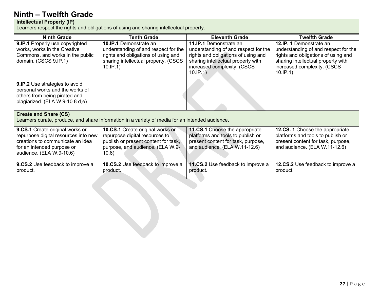#### **Intellectual Property (IP)**

Learners respect the rights and obligations of using and sharing intellectual property.

| <b>Ninth Grade</b>                                                                                                                                                    | <b>Tenth Grade</b>                                                                                                                                               | <b>Eleventh Grade</b>                                                                                                                                                                        | <b>Twelfth Grade</b>                                                                                                                                                                    |
|-----------------------------------------------------------------------------------------------------------------------------------------------------------------------|------------------------------------------------------------------------------------------------------------------------------------------------------------------|----------------------------------------------------------------------------------------------------------------------------------------------------------------------------------------------|-----------------------------------------------------------------------------------------------------------------------------------------------------------------------------------------|
| 9.IP.1 Properly use copyrighted<br>works, works in the Creative<br>Commons, and works in the public<br>domain. (CSCS 9.IP.1)                                          | <b>10.IP.1</b> Demonstrate an<br>understanding of and respect for the<br>rights and obligations of using and<br>sharing intellectual property. (CSCS<br>10.IP.1) | <b>11.IP.1</b> Demonstrate an<br>understanding of and respect for the<br>rights and obligations of using and<br>sharing intellectual property with<br>increased complexity. (CSCS<br>10.IP.1 | 12.IP. 1 Demonstrate an<br>understanding of and respect for the<br>rights and obligations of using and<br>sharing intellectual property with<br>increased complexity. (CSCS<br>10.IP.1) |
| 9.IP.2 Use strategies to avoid<br>personal works and the works of<br>others from being pirated and<br>plagiarized. (ELA W.9-10.8 d,e)                                 |                                                                                                                                                                  |                                                                                                                                                                                              |                                                                                                                                                                                         |
| <b>Create and Share (CS)</b><br>Learners curate, produce, and share information in a variety of media for an intended audience.                                       |                                                                                                                                                                  |                                                                                                                                                                                              |                                                                                                                                                                                         |
| 9.CS.1 Create original works or<br>repurpose digital resources into new<br>creations to communicate an idea<br>for an intended purpose or<br>audience. (ELA W.9-10.6) | 10.CS.1 Create original works or<br>repurpose digital resources to<br>publish or present content for task,<br>purpose, and audience. (ELA W.9-<br>10.6)          | 11.CS.1 Choose the appropriate<br>platforms and tools to publish or<br>present content for task, purpose,<br>and audience. (ELA W.11-12.6)                                                   | 12.CS. 1 Choose the appropriate<br>platforms and tools to publish or<br>present content for task, purpose,<br>and audience. (ELA W.11-12.6)                                             |
| <b>9.CS.2</b> Use feedback to improve a<br>product.                                                                                                                   | <b>10.CS.2</b> Use feedback to improve a<br>product.                                                                                                             | <b>11.CS.2</b> Use feedback to improve a<br>product.                                                                                                                                         | <b>12.CS.2</b> Use feedback to improve a<br>product.                                                                                                                                    |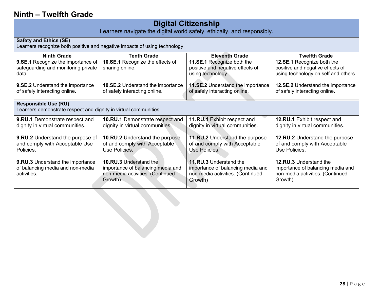## **Digital Citizenship**

Learners navigate the digital world safely, ethically, and responsibly.

#### **Safety and Ethics (SE)**

Learners recognize both positive and negative impacts of using technology.

| <b>Ninth Grade</b>                                               | <b>Tenth Grade</b>                       | <b>Eleventh Grade</b>             | <b>Twelfth Grade</b>                 |
|------------------------------------------------------------------|------------------------------------------|-----------------------------------|--------------------------------------|
| 9.SE.1 Recognize the importance of                               | 10.SE.1 Recognize the effects of         | 11.SE.1 Recognize both the        | 12.SE.1 Recognize both the           |
| safeguarding and monitoring private                              | sharing online.                          | positive and negative effects of  | positive and negative effects of     |
| data.                                                            |                                          | using technology.                 | using technology on self and others. |
|                                                                  |                                          |                                   |                                      |
| <b>9.SE.2</b> Understand the importance                          | <b>10.SE.2</b> Understand the importance | 11.SE.2 Understand the importance | 12.SE.2 Understand the importance    |
| of safely interacting online.                                    | of safely interacting online.            | of safely interacting online.     | of safely interacting online.        |
|                                                                  |                                          |                                   |                                      |
| <b>Responsible Use (RU)</b>                                      |                                          |                                   |                                      |
| Learners demonstrate respect and dignity in virtual communities. |                                          |                                   |                                      |
| 9.RU.1 Demonstrate respect and                                   | 10.RU.1 Demonstrate respect and          | 11.RU.1 Exhibit respect and       | 12.RU.1 Exhibit respect and          |
| dignity in virtual communities.                                  | dignity in virtual communities.          | dignity in virtual communities.   | dignity in virtual communities.      |
|                                                                  |                                          |                                   |                                      |
| <b>9.RU.2</b> Understand the purpose of                          | <b>10.RU.2</b> Understand the purpose    | 11.RU.2 Understand the purpose    | 12.RU.2 Understand the purpose       |
| and comply with Acceptable Use                                   | of and comply with Acceptable            | of and comply with Acceptable     | of and comply with Acceptable        |
| Policies.                                                        | Use Policies.                            | Use Policies.                     | Use Policies.                        |
|                                                                  |                                          |                                   |                                      |
| <b>9.RU.3</b> Understand the importance                          | <b>10.RU.3</b> Understand the            | <b>11.RU.3</b> Understand the     | 12.RU.3 Understand the               |
| of balancing media and non-media                                 | importance of balancing media and        | importance of balancing media and | importance of balancing media and    |
| activities.                                                      | non-media activities. (Continued         | non-media activities. (Continued  | non-media activities. (Continued     |
|                                                                  | Growth)                                  | Growth)                           | Growth)                              |
|                                                                  |                                          |                                   |                                      |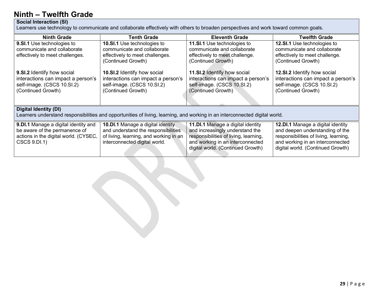#### **Social Interaction (SI)**

Learners use technology to communicate and collaborate effectively with others to broaden perspectives and work toward common goals.

| Ninth Grade                                                                                                                                                 | <b>Tenth Grade</b>                                                                                                                                         | <b>Eleventh Grade</b>                                                                                                                                                                   | <b>Twelfth Grade</b>                                                                                                                                                                   |
|-------------------------------------------------------------------------------------------------------------------------------------------------------------|------------------------------------------------------------------------------------------------------------------------------------------------------------|-----------------------------------------------------------------------------------------------------------------------------------------------------------------------------------------|----------------------------------------------------------------------------------------------------------------------------------------------------------------------------------------|
| <b>9.SI.1</b> Use technologies to<br>communicate and collaborate<br>effectively to meet challenges.                                                         | <b>10.SI.1</b> Use technologies to<br>communicate and collaborate<br>effectively to meet challenges.<br>(Continued Growth)                                 | <b>11.SI.1</b> Use technologies to<br>communicate and collaborate<br>effectively to meet challenge.<br>(Continued Growth)                                                               | <b>12.SI.1</b> Use technologies to<br>communicate and collaborate<br>effectively to meet challenge.<br>(Continued Growth)                                                              |
| 9.SI.2 Identify how social<br>interactions can impact a person's<br>self-image. (CSCS 10.SI.2)<br>(Continued Growth)                                        | 10.SI.2 Identify how social<br>interactions can impact a person's<br>self-image. (CSCS 10.SI.2)<br>(Continued Growth)                                      | 11.SI.2 Identify how social<br>interactions can impact a person's<br>self-image. (CSCS 10.SI.2)<br>(Continued Growth)                                                                   | 12.SI.2 Identify how social<br>interactions can impact a person's<br>self-image. (CSCS 10.SI.2)<br>(Continued Growth)                                                                  |
| <b>Digital Identity (DI)</b><br>Learners understand responsibilities and opportunities of living, learning, and working in an interconnected digital world. |                                                                                                                                                            |                                                                                                                                                                                         |                                                                                                                                                                                        |
| 9. DI.1 Manage a digital identity and<br>be aware of the permanence of<br>actions in the digital world. (CYSEC,<br>CSCS 9.DI.1)                             | <b>10.DI.1</b> Manage a digital identity<br>and understand the responsibilities<br>of living, learning, and working in an<br>interconnected digital world. | 11. DI.1 Manage a digital identity<br>and increasingly understand the<br>responsibilities of living, learning,<br>and working in an interconnected<br>digital world. (Continued Growth) | 12.DI.1 Manage a digital identity<br>and deepen understanding of the<br>responsibilities of living, learning,<br>and working in an interconnected<br>digital world. (Continued Growth) |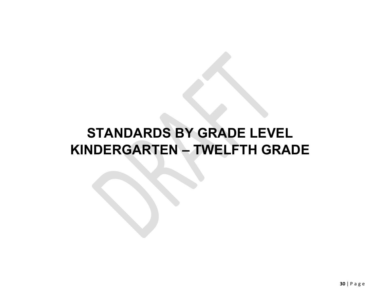## <span id="page-29-0"></span>**STANDARDS BY GRADE LEVEL KINDERGARTEN – TWELFTH GRADE**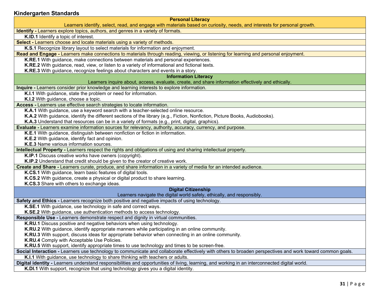#### <span id="page-30-0"></span>**Kindergarten Standards**

#### **Personal Literacy**

Learners identify, select, read, and engage with materials based on curiosity, needs, and interests for personal growth.

**Identify -** Learners explore topics, authors, and genres in a variety of formats.

**K.ID.1** Identify a topic of interest.

**Select -** Learners choose and locate materials using a variety of methods.

**K.S.1** Recognize library layout to select materials for information and enjoyment.

**Read and Engage -** Learners make connections to materials through reading, viewing, or listening for learning and personal enjoyment.

**K.RE.1** With guidance, make connections between materials and personal experiences.

**K.RE.2** With guidance, read, view, or listen to a variety of informational and fictional texts.

**K.RE.3** With guidance, recognize feelings about characters and events in a story.

#### **Information Literacy**

Learners inquire about, access, evaluate, create, and share information effectively and ethically.

**Inquire -** Learners consider prior knowledge and learning interests to explore information.

**K.I.1** With guidance, state the problem or need for information.

**K.I.2** With guidance, choose a topic.

**Access -** Learners use effective search strategies to locate information.

**K.A.1** With guidance, use a keyword search with a teacher-selected online resource.

**K.A.2** With guidance, identify the different sections of the library (e.g., Fiction, Nonfiction, Picture Books, Audiobooks).

**K.A.3** Understand that resources can be in a variety of formats (e.g., print, digital, graphics).

**Evaluate -** Learners examine information sources for relevancy, authority, accuracy, currency, and purpose.

**K.E.1** With guidance, distinguish between nonfiction or fiction in information.

**K.E.2** With guidance, identify fact and opinion.

**K.E.3** Name various information sources.

**Intellectual Property -** Learners respect the rights and obligations of using and sharing intellectual property.

**K.IP.1** Discuss creative works have owners (copyright).

**K.IP.2** Understand that credit should be given to the creator of creative work.

**Create and Share -** Learners curate, produce, and share information in a variety of media for an intended audience.

**K.CS.1** With guidance, learn basic features of digital tools.

**K.CS.2** With guidance, create a physical or digital product to share learning.

**K.CS.3** Share with others to exchange ideas.

#### **Digital Citizenship**

Learners navigate the digital world safely, ethically, and responsibly.

**Safety and Ethics -** Learners recognize both positive and negative impacts of using technology.

**K.SE.1** With guidance, use technology in safe and correct ways.

**K.SE.2** With guidance, use authentication methods to access technology.

**Responsible Use -** Learners demonstrate respect and dignity in virtual communities.

**K.RU.1** Discuss positive and negative behaviors when using technology.

**K.RU.2** With guidance, identify appropriate manners while participating in an online community.

**K.RU.3** With support, discuss ideas for appropriate behavior when connecting in an online community.

**K.RU.4** Comply with Acceptable Use Policies.

**K.RU.5** With support, identify appropriate times to use technology and times to be screen-free.

**Social Interaction -** Learners use technology to communicate and collaborate effectively with others to broaden perspectives and work toward common goals.

**K.I.1** With guidance, use technology to share thinking with teachers or adults.

**Digital identity -** Learners understand responsibilities and opportunities of living, learning, and working in an interconnected digital world.

**K.DI.1** With support, recognize that using technology gives you a digital identity.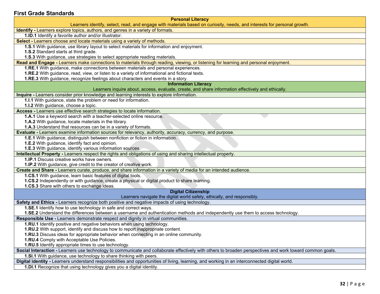#### <span id="page-31-0"></span>**First Grade Standards**

| <b>Personal Literacy</b>                                                                                                                                                                                     |
|--------------------------------------------------------------------------------------------------------------------------------------------------------------------------------------------------------------|
| Learners identify, select, read, and engage with materials based on curiosity, needs, and interests for personal growth.<br>Identify - Learners explore topics, authors, and genres in a variety of formats. |
| 1.ID.1 Identify a favorite author and/or illustrator.                                                                                                                                                        |
| Select - Learners choose and locate materials using a variety of methods.                                                                                                                                    |
| 1.S.1 With guidance, use library layout to select materials for information and enjoyment.                                                                                                                   |
| 1.S.2 Standard starts at third grade.                                                                                                                                                                        |
| 1.S.3 With guidance, use strategies to select appropriate reading materials.                                                                                                                                 |
| Read and Engage - Learners make connections to materials through reading, viewing, or listening for learning and personal enjoyment.                                                                         |
| <b>1.RE.1</b> With guidance, make connections between materials and personal experiences.                                                                                                                    |
| 1.RE.2 With guidance, read, view, or listen to a variety of informational and fictional texts.                                                                                                               |
| 1.RE.3 With guidance, recognize feelings about characters and events in a story.                                                                                                                             |
| <b>Information Literacy</b>                                                                                                                                                                                  |
| Learners inquire about, access, evaluate, create, and share information effectively and ethically.                                                                                                           |
| Inquire - Learners consider prior knowledge and learning interests to explore information.                                                                                                                   |
| 1.I.1 With guidance, state the problem or need for information.                                                                                                                                              |
| 1.I.2 With guidance, choose a topic.                                                                                                                                                                         |
| Access - Learners use effective search strategies to locate information.                                                                                                                                     |
| 1.A.1 Use a keyword search with a teacher-selected online resource.                                                                                                                                          |
| 1.A.2 With guidance, locate materials in the library.                                                                                                                                                        |
| 1.A.3 Understand that resources can be in a variety of formats.                                                                                                                                              |
| Evaluate - Learners examine information sources for relevancy, authority, accuracy, currency, and purpose.<br>1.E.1 With guidance, distinguish between nonfiction or fiction in information.                 |
| 1.E.2 With guidance, identify fact and opinion.                                                                                                                                                              |
| 1.E.3 With guidance, identify various information sources.                                                                                                                                                   |
| Intellectual Property - Learners respect the rights and obligations of using and sharing intellectual property.                                                                                              |
| 1.IP.1 Discuss creative works have owners.                                                                                                                                                                   |
| 1.IP.2 With guidance, give credit to the creator of creative work.                                                                                                                                           |
| Create and Share - Learners curate, produce, and share information in a variety of media for an intended audience.                                                                                           |
| 1.CS.1 With guidance, learn basic features of digital tools.                                                                                                                                                 |
| 1.CS.2 Independently or with guidance, create a physical or digital product to share learning.                                                                                                               |
| 1.CS.3 Share with others to exchange ideas.                                                                                                                                                                  |
| <b>Digital Citizenship</b>                                                                                                                                                                                   |
| Learners navigate the digital world safely, ethically, and responsibly.                                                                                                                                      |
| Safety and Ethics - Learners recognize both positive and negative impacts of using technology.                                                                                                               |
| 1.SE.1 Identify how to use technology in safe and correct ways.                                                                                                                                              |
| 1.SE.2 Understand the differences between a username and authentication methods and independently use them to access technology.                                                                             |
| Responsible Use - Learners demonstrate respect and dignity in virtual communities.                                                                                                                           |
| 1.RU.1 Identify positive and negative behaviors when using technology.                                                                                                                                       |
| 1.RU.2 With support, identify and discuss how to report inappropriate content.                                                                                                                               |
| 1.RU.3 Discuss ideas for appropriate behavior when connecting in an online community.                                                                                                                        |
| 1.RU.4 Comply with Acceptable Use Policies.<br>1.RU.5 Identify appropriate times to use technology.                                                                                                          |
| Social Interaction - Learners use technology to communicate and collaborate effectively with others to broaden perspectives and work toward common goals.                                                    |
| 1.SI.1 With guidance, use technology to share thinking with peers.                                                                                                                                           |
| Digital identity - Learners understand responsibilities and opportunities of living, learning, and working in an interconnected digital world.                                                               |
| 1.DI.1 Recognize that using technology gives you a digital identity.                                                                                                                                         |
|                                                                                                                                                                                                              |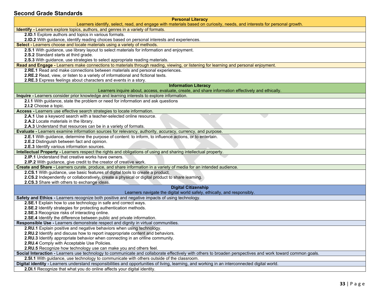#### <span id="page-32-0"></span>**Second Grade Standards**

| <b>Personal Literacy</b><br>Learners identify, select, read, and engage with materials based on curiosity, needs, and interests for personal growth.      |
|-----------------------------------------------------------------------------------------------------------------------------------------------------------|
| Identify - Learners explore topics, authors, and genres in a variety of formats.                                                                          |
| 2.ID.1 Explore authors and topics in various formats.                                                                                                     |
| 2.ID.2 With guidance, identify reading choices based on personal interests and experiences.                                                               |
| Select - Learners choose and locate materials using a variety of methods.                                                                                 |
| 2.S.1 With guidance, use library layout to select materials for information and enjoyment.                                                                |
| 2.S.2 Standard starts at third grade.                                                                                                                     |
| 2.S.3 With guidance, use strategies to select appropriate reading materials.                                                                              |
| Read and Engage - Learners make connections to materials through reading, viewing, or listening for learning and personal enjoyment.                      |
| 2.RE.1 Read and make connections between materials and personal experiences.                                                                              |
| 2.RE.2 Read, view, or listen to a variety of informational and fictional texts.                                                                           |
| 2.RE.3 Express feelings about characters and events in a story.                                                                                           |
| <b>Information Literacy</b>                                                                                                                               |
| Learners inquire about, access, evaluate, create, and share information effectively and ethically.                                                        |
| Inquire - Learners consider prior knowledge and learning interests to explore information.                                                                |
| 2.I.1 With guidance, state the problem or need for information and ask questions                                                                          |
| 2.I.2 Choose a topic.                                                                                                                                     |
| Access - Learners use effective search strategies to locate information.                                                                                  |
| 2.A.1 Use a keyword search with a teacher-selected online resource.                                                                                       |
| 2.A.2 Locate materials in the library.                                                                                                                    |
| 2.A.3 Understand that resources can be in a variety of formats.                                                                                           |
| Evaluate - Learners examine information sources for relevancy, authority, accuracy, currency, and purpose.                                                |
| 2.E.1 With guidance, determine the purpose of content: to inform, to influence actions, or to entertain.                                                  |
| 2.E.2 Distinguish between fact and opinion.                                                                                                               |
| 2.E.3 Identify various information sources.                                                                                                               |
| Intellectual Property - Learners respect the rights and obligations of using and sharing intellectual property.                                           |
| 2.IP.1 Understand that creative works have owners.                                                                                                        |
| 2.IP.2 With guidance, give credit to the creator of creative work.                                                                                        |
| Create and Share - Learners curate, produce, and share information in a variety of media for an intended audience.                                        |
| 2.CS.1 With guidance, use basic features of digital tools to create a product.                                                                            |
| 2.CS.2 Independently or collaboratively, create a physical or digital product to share learning.                                                          |
| 2.CS.3 Share with others to exchange ideas.                                                                                                               |
| <b>Digital Citizenship</b><br>Learners navigate the digital world safely, ethically, and responsibly.                                                     |
| Safety and Ethics - Learners recognize both positive and negative impacts of using technology.                                                            |
| 2.SE.1 Explain how to use technology in safe and correct ways.                                                                                            |
| 2.SE.2 Identify strategies for protecting authentication methods.                                                                                         |
| 2.SE.3 Recognize risks of interacting online.                                                                                                             |
| 2.SE.4 Identify the difference between public and private information.                                                                                    |
| Responsible Use - Learners demonstrate respect and dignity in virtual communities.                                                                        |
| 2.RU.1 Explain positive and negative behaviors when using technology.                                                                                     |
| 2.RU.2 Identify and discuss how to report inappropriate content and behaviors.                                                                            |
| <b>2.RU.3</b> Identify appropriate behavior when connecting in an online community.                                                                       |
| 2.RU.4 Comply with Acceptable Use Policies.                                                                                                               |
| 2.RU.5 Recognize how technology use can make you and others feel.                                                                                         |
| Social Interaction - Learners use technology to communicate and collaborate effectively with others to broaden perspectives and work toward common goals. |
| 2.SI.1 With guidance, use technology to communicate with others outside of the classroom.                                                                 |
| Digital identity - Learners understand responsibilities and opportunities of living, learning, and working in an interconnected digital world.            |
| 2.DI.1 Recognize that what you do online affects your digital identity.                                                                                   |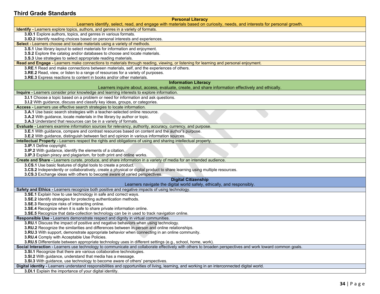#### <span id="page-33-0"></span>**Third Grade Standards**

| <b>Personal Literacy</b>                                                                                                                                  |
|-----------------------------------------------------------------------------------------------------------------------------------------------------------|
| Learners identify, select, read, and engage with materials based on curiosity, needs, and interests for personal growth.                                  |
| Identify - Learners explore topics, authors, and genres in a variety of formats.                                                                          |
| 3.ID.1 Explore authors, topics, and genres in various formats.                                                                                            |
| 3.ID.2 Identify reading choices based on personal interests and experiences.                                                                              |
| Select - Learners choose and locate materials using a variety of methods.                                                                                 |
| 3.S.1 Use library layout to select materials for information and enjoyment.                                                                               |
| 3.S.2 Explore the catalog and/or databases to choose and locate materials.                                                                                |
| 3.S.3 Use strategies to select appropriate reading materials.                                                                                             |
| Read and Engage - Learners make connections to materials through reading, viewing, or listening for learning and personal enjoyment.                      |
| 3.RE.1 Read and make connections between materials, self, and the experiences of others.                                                                  |
| 3.RE.2 Read, view, or listen to a range of resources for a variety of purposes.                                                                           |
| 3.RE.3 Express reactions to content in books and/or other materials.                                                                                      |
| <b>Information Literacy</b>                                                                                                                               |
| Learners inquire about, access, evaluate, create, and share information effectively and ethically.                                                        |
| Inquire - Learners consider prior knowledge and learning interests to explore information.                                                                |
| 3.I.1 Choose a topic based on a problem or need for information and ask questions.                                                                        |
| 3.I.2 With guidance, discuss and classify key ideas, groups, or categories.                                                                               |
| Access - Learners use effective search strategies to locate information.                                                                                  |
| 3.A.1 Use basic search strategies with a teacher-selected online resource.                                                                                |
| 3.A.2 With guidance, locate materials in the library by author or topic.                                                                                  |
| 3.A.3 Understand that resources can be in a variety of formats.                                                                                           |
| Evaluate - Learners examine information sources for relevancy, authority, accuracy, currency, and purpose.                                                |
| 3.E.1 With guidance, compare and contrast resources based on content and the author's purpose.                                                            |
| 3.E.2 With guidance, distinguish between fact and opinion in various information sources.                                                                 |
| Intellectual Property - Learners respect the rights and obligations of using and sharing intellectual property.                                           |
| 3.IP.1 Define copyright.                                                                                                                                  |
| 3.IP.2 With guidance, identify the elements of a citation.<br>3.IP.3 Explain piracy and plagiarism, for both print and online works.                      |
| Create and Share - Learners curate, produce, and share information in a variety of media for an intended audience.                                        |
| 3.CS.1 Use basic features of digital tools to create a product.                                                                                           |
| 3.CS.2 Independently or collaboratively, create a physical or digital product to share learning using multiple resources.                                 |
| 3.CS.3 Exchange ideas with others to become aware of varied perspectives.                                                                                 |
| <b>Digital Citizenship</b>                                                                                                                                |
| Learners navigate the digital world safely, ethically, and responsibly.                                                                                   |
| <b>Safety and Ethics - Learners recognize both positive and negative impacts of using technology.</b>                                                     |
| 3.SE.1 Explain how to use technology in safe and correct ways.                                                                                            |
| 3.SE.2 Identify strategies for protecting authentication methods.                                                                                         |
| 3.SE.3 Recognize risks of interacting online.                                                                                                             |
| 3.SE.4 Recognize when it is safe to share private information online.                                                                                     |
| 3.SE.5 Recognize that data-collection technology can be in used to track navigation online.                                                               |
| Responsible Use - Learners demonstrate respect and dignity in virtual communities.                                                                        |
| 3.RU.1 Discuss the impact of positive and negative behaviors when using technology.                                                                       |
| 3.RU.2 Recognize the similarities and differences between in-person and online relationships.                                                             |
| 3.RU.3 With support, demonstrate appropriate behavior when connecting in an online community.                                                             |
| 3.RU.4 Comply with Acceptable Use Policies.                                                                                                               |
| 3.RU.5 Differentiate between appropriate technology uses in different settings (e.g., school, home, work).                                                |
| Social Interaction - Learners use technology to communicate and collaborate effectively with others to broaden perspectives and work toward common goals. |
| 3.SI.1 Recognize that there are various collaborative technologies.                                                                                       |
| 3.SI.2 With guidance, understand that media has a message.                                                                                                |
| 3.SI.3 With guidance, use technology to become aware of others' perspectives.                                                                             |
| Digital identity - Learners understand responsibilities and opportunities of living, learning, and working in an interconnected digital world.            |
| 3.DI.1 Explain the importance of your digital identity.                                                                                                   |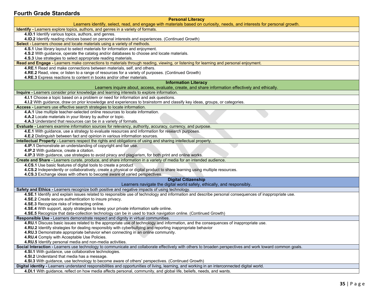#### <span id="page-34-0"></span>**Fourth Grade Standards**

| <b>Personal Literacy</b>                                                                                                                                                                                              |
|-----------------------------------------------------------------------------------------------------------------------------------------------------------------------------------------------------------------------|
| Learners identify, select, read, and engage with materials based on curiosity, needs, and interests for personal growth.                                                                                              |
| <b>Identify - Learners explore topics, authors, and genres in a variety of formats.</b>                                                                                                                               |
| 4.ID.1 Identify various topics, authors, and genres.<br>4.ID.2 Identify reading choices based on personal interests and experiences. (Continued Growth)                                                               |
| Select - Learners choose and locate materials using a variety of methods.                                                                                                                                             |
| 4.S.1 Use library layout to select materials for information and enjoyment.                                                                                                                                           |
| 4.S.2 With guidance, operate the catalog and/or databases to choose and locate materials.                                                                                                                             |
| 4.S.3 Use strategies to select appropriate reading materials.                                                                                                                                                         |
| Read and Engage - Learners make connections to materials through reading, viewing, or listening for learning and personal enjoyment.                                                                                  |
| 4.RE.1 Read and make connections between materials, self, and others.                                                                                                                                                 |
| 4.RE.2 Read, view, or listen to a range of resources for a variety of purposes. (Continued Growth)                                                                                                                    |
| 4.RE.3 Express reactions to content in books and/or other materials.                                                                                                                                                  |
| <b>Information Literacy</b>                                                                                                                                                                                           |
| Learners inquire about, access, evaluate, create, and share information effectively and ethically.                                                                                                                    |
| Inquire - Learners consider prior knowledge and learning interests to explore information.                                                                                                                            |
| 4.I.1 Choose a topic based on a problem or need for information and ask questions.                                                                                                                                    |
| 4.1.2 With guidance, draw on prior knowledge and experiences to brainstorm and classify key ideas, groups, or categories.                                                                                             |
| Access - Learners use effective search strategies to locate information.                                                                                                                                              |
| 4.A.1 Use multiple teacher-selected online resources to locate information.                                                                                                                                           |
| 4.A.2 Locate materials in your library by author or topic.                                                                                                                                                            |
| 4.A.3 Understand that resources can be in a variety of formats.                                                                                                                                                       |
| Evaluate - Learners examine information sources for relevancy, authority, accuracy, currency, and purpose.                                                                                                            |
| 4.E.1 With guidance, use a strategy to evaluate resources and information for research purposes.                                                                                                                      |
| 4.E.2 Distinguish between fact and opinion in various information sources.                                                                                                                                            |
| Intellectual Property - Learners respect the rights and obligations of using and sharing intellectual property.                                                                                                       |
| 4.IP.1 Demonstrate an understanding of copyright and fair use.                                                                                                                                                        |
| 4.IP.2 With guidance, create a citation.                                                                                                                                                                              |
| 4.IP.3 With guidance, use strategies to avoid piracy and plagiarism, for both print and online works.                                                                                                                 |
| Create and Share - Learners curate, produce, and share information in a variety of media for an intended audience.                                                                                                    |
| 4.CS.1 Use basic features of digital tools to create a product                                                                                                                                                        |
| 4.CS.2 Independently or collaboratively, create a physical or digital product to share learning using multiple resources.                                                                                             |
| 4.CS.3 Exchange ideas with others to become aware of varied perspectives.                                                                                                                                             |
| <b>Digital Citizenship</b>                                                                                                                                                                                            |
| Learners navigate the digital world safely, ethically, and responsibly.                                                                                                                                               |
| Safety and Ethics - Learners recognize both positive and negative impacts of using technology.                                                                                                                        |
| 4.SE.1 Identify and explain issues related to responsible use of technology and information and describe personal consequences of inappropriate use.                                                                  |
| 4.SE.2 Create secure authentication to insure privacy.                                                                                                                                                                |
| 4.SE.3 Recognize risks of interacting online.                                                                                                                                                                         |
| 4.SE.4 With support, apply strategies to keep your private information safe online.                                                                                                                                   |
| 4.SE.5 Recognize that data-collection technology can be in used to track navigation online. (Continued Growth)                                                                                                        |
| Responsible Use - Learners demonstrate respect and dignity in virtual communities.                                                                                                                                    |
| 4.RU.1 Discuss basic issues related to the appropriate use of technology and information, and the consequences of inappropriate use.                                                                                  |
| 4.RU.2 Identify strategies for dealing responsibly with cyberbullying and reporting inappropriate behavior                                                                                                            |
| 4.RU.3 Demonstrate appropriate behavior when connecting in an online community.                                                                                                                                       |
| 4.RU.4 Comply with Acceptable Use Policies.                                                                                                                                                                           |
| 4.RU.5 Identify personal media and non-media activities.<br>Social Interaction - Learners use technology to communicate and collaborate effectively with others to broaden perspectives and work toward common goals. |
|                                                                                                                                                                                                                       |
| 4.SI.1 With guidance, use collaborative technologies.                                                                                                                                                                 |
| 4.SI.2 Understand that media has a message.<br>4.SI.3 With guidance, use technology to become aware of others' perspectives. (Continued Growth)                                                                       |
| Digital identity - Learners understand responsibilities and opportunities of living, learning, and working in an interconnected digital world.                                                                        |
| 4.DI.1 With guidance, reflect on how media affects personal, community, and global life, beliefs, needs, and wants.                                                                                                   |
|                                                                                                                                                                                                                       |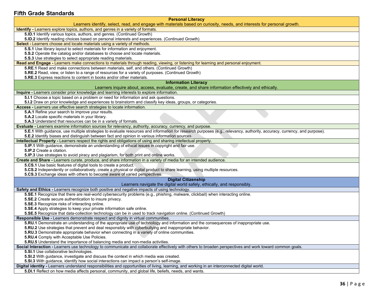#### <span id="page-35-0"></span>**Fifth Grade Standards**

| <b>Personal Literacy</b>                                                                                                                                                                                                                                                  |
|---------------------------------------------------------------------------------------------------------------------------------------------------------------------------------------------------------------------------------------------------------------------------|
| Learners identify, select, read, and engage with materials based on curiosity, needs, and interests for personal growth.                                                                                                                                                  |
| <b>Identify</b> - Learners explore topics, authors, and genres in a variety of formats.                                                                                                                                                                                   |
| 5.ID.1 Identify various topics, authors, and genres. (Continued Growth)                                                                                                                                                                                                   |
| 5.ID.2 Identify reading choices based on personal interests and experiences. (Continued Growth)                                                                                                                                                                           |
| Select - Learners choose and locate materials using a variety of methods.                                                                                                                                                                                                 |
| 5.S.1 Use library layout to select materials for information and enjoyment.                                                                                                                                                                                               |
| 5.S.2 Operate the catalog and/or databases to choose and locate materials.                                                                                                                                                                                                |
| 5.S.3 Use strategies to select appropriate reading materials.                                                                                                                                                                                                             |
| Read and Engage - Learners make connections to materials through reading, viewing, or listening for learning and personal enjoyment.                                                                                                                                      |
| 5.RE.1 Read and make connections between materials, self, and others. (Continued Growth)                                                                                                                                                                                  |
| 5.RE.2 Read, view, or listen to a range of resources for a variety of purposes. (Continued Growth)                                                                                                                                                                        |
| 5.RE.3 Express reactions to content in books and/or other materials.                                                                                                                                                                                                      |
| <b>Information Literacy</b>                                                                                                                                                                                                                                               |
| Learners inquire about, access, evaluate, create, and share information effectively and ethically.                                                                                                                                                                        |
| Inquire - Learners consider prior knowledge and learning interests to explore information.                                                                                                                                                                                |
| 5.I.1 Choose a topic based on a problem or need for information and ask questions.                                                                                                                                                                                        |
| 5.1.2 Draw on prior knowledge and experiences to brainstorm and classify key ideas, groups, or categories.                                                                                                                                                                |
| Access - Learners use effective search strategies to locate information.                                                                                                                                                                                                  |
| 5.A.1 Refine your search to improve your results.                                                                                                                                                                                                                         |
| 5.A.2 Locate specific materials in your library.                                                                                                                                                                                                                          |
| 5.A.3 Understand that resources can be in a variety of formats.                                                                                                                                                                                                           |
| Evaluate - Learners examine information sources for relevancy, authority, accuracy, currency, and purpose.                                                                                                                                                                |
| 5.E.1 With guidance, use multiple strategies to evaluate resources and information for research purposes (e.g., relevancy, authority, accuracy, currency, and purpose).<br>5.E.2 Identify biases and distinguish between fact and opinion in various information sources. |
| Intellectual Property - Learners respect the rights and obligations of using and sharing intellectual property.                                                                                                                                                           |
| 5.IP.1 With guidance, demonstrate an understanding of ethical issues in copyright and fair use.                                                                                                                                                                           |
| 5.IP.2 Create a citation.                                                                                                                                                                                                                                                 |
| 5.IP.3 Use strategies to avoid piracy and plagiarism, for both print and online works.                                                                                                                                                                                    |
| Create and Share - Learners curate, produce, and share information in a variety of media for an intended audience.                                                                                                                                                        |
| 5.CS.1 Use basic features of digital tools to create a product.                                                                                                                                                                                                           |
| 5.CS.2 Independently or collaboratively, create a physical or digital product to share learning, using multiple resources.                                                                                                                                                |
| 5.CS.3 Exchange ideas with others to become aware of varied perspectives.                                                                                                                                                                                                 |
| <b>Digital Citizenship</b>                                                                                                                                                                                                                                                |
| Learners navigate the digital world safely, ethically, and responsibly.                                                                                                                                                                                                   |
| Safety and Ethics - Learners recognize both positive and negative impacts of using technology.                                                                                                                                                                            |
| 5.SE.1 Recognize that there are real-world cybersecurity problems (e.g., phishing, malware, clickbait) when interacting online.                                                                                                                                           |
| <b>5.SE.2</b> Create secure authentication to insure privacy.                                                                                                                                                                                                             |
| 5.SE.3 Recognize risks of interacting online.                                                                                                                                                                                                                             |
| 5.SE.4 Apply strategies to keep your private information safe online.                                                                                                                                                                                                     |
| 5.SE.5 Recognize that data-collection technology can be in used to track navigation online. (Continued Growth)                                                                                                                                                            |
| Responsible Use - Learners demonstrate respect and dignity in virtual communities.                                                                                                                                                                                        |
| 5.RU.1 Demonstrate an understanding of the appropriate use of technology and information and the consequences of inappropriate use.                                                                                                                                       |
| 5.RU.2 Use strategies that prevent and deal responsibly with cyberbullying and inappropriate behavior.                                                                                                                                                                    |
| 5.RU.3 Demonstrate appropriate behavior when connecting in a variety of online communities.                                                                                                                                                                               |
| 5.RU.4 Comply with Acceptable Use Policies.                                                                                                                                                                                                                               |
| 5.RU.5 Understand the importance of balancing media and non-media activities.                                                                                                                                                                                             |
| Social Interaction - Learners use technology to communicate and collaborate effectively with others to broaden perspectives and work toward common goals.                                                                                                                 |
| 5.SI.1 Use collaborative technologies.                                                                                                                                                                                                                                    |
| 5.SI.2 With guidance, investigate and discuss the context in which media was created.                                                                                                                                                                                     |
| 5.SI.3 With guidance, identify how social interactions can impact a person's self-image.                                                                                                                                                                                  |
| Digital identity - Learners understand responsibilities and opportunities of living, learning, and working in an interconnected digital world.                                                                                                                            |
| 5.DI.1 Reflect on how media affects personal, community, and global life, beliefs, needs, and wants.                                                                                                                                                                      |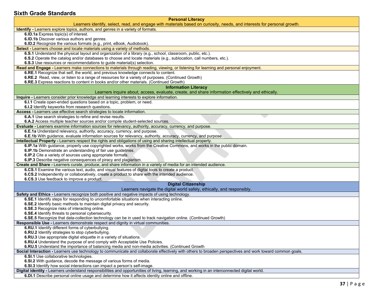#### <span id="page-36-0"></span>**Sixth Grade Standards**

| Identify - Learners explore topics, authors, and genres in a variety of formats.<br>6.ID.1a Express topic(s) of interest.<br>6.ID.1b Discover various authors and genres.<br>6.ID.2 Recognize the various formats (e.g., print, eBook, Audiobook).<br>Select - Learners choose and locate materials using a variety of methods.<br>6.S.1 Understand the physical layout and organization of a library (e.g., school, classroom, public, etc.).<br>6.S.2 Operate the catalog and/or databases to choose and locate materials (e.g., sublocation, call numbers, etc.).<br>6.S.3 Use resources or recommendations to guide material(s) selection.<br>Read and Engage - Learners make connections to materials through reading, viewing, or listening for learning and personal enjoyment.<br>6.RE.1 Recognize that self, the world, and previous knowledge connects to content.<br>6.RE.2 Read, view, or listen to a range of resources for a variety of purposes. (Continued Growth)<br>6.RE.3 Express reactions to content in books and/or other materials. (Continued Growth)<br><b>Information Literacy</b><br>Learners inquire about, access, evaluate, create, and share information effectively and ethically.<br>Inquire - Learners consider prior knowledge and learning interests to explore information.<br>6.I.1 Create open-ended questions based on a topic, problem, or need.<br>6.I.2 Identify keyworks from research questions.<br>Access - Learners use effective search strategies to locate information.<br>6.A.1 Use search strategies to refine and revise results.<br>6.A.2 Access multiple teacher sources and/or compile student-selected sources.<br>Evaluate - Learners examine information sources for relevancy, authority, accuracy, currency, and purpose.<br>6.E.1a Understand relevancy, authority, accuracy, currency, and purpose.<br>6.E.1b With guidance, evaluate information sources for relevancy, authority, accuracy, currency, and purpose.<br>Intellectual Property - Learners respect the rights and obligations of using and sharing intellectual property.<br>6.IP.1a With guidance, properly use copyrighted works, works from the Creative Commons, and works in the public domain.<br>6.IP.1b Demonstrate an understanding of fair use guidelines.<br>6.IP.2 Cite a variety of sources using appropriate formats.<br>6.IP.3 Describe negative consequences of piracy and plagiarism.<br>Create and Share - Learners curate, produce, and share information in a variety of media for an intended audience.<br>6.CS.1 Examine the various text, audio, and visual features of digital tools to create a product.<br>6.CS.2 Independently or collaboratively, create a product to share with the intended audience.<br>6.CS.3 Use feedback to improve a product.<br><b>Digital Citizenship</b><br>Learners navigate the digital world safely, ethically, and responsibly.<br>Safety and Ethics - Learners recognize both positive and negative impacts of using technology.<br>6.SE.1 Identify steps for responding to uncomfortable situations when interacting online.<br>6.SE.2 Identify basic methods to maintain digital privacy and security.<br>6.SE.3 Recognize risks of interacting online.<br>6.SE.4 Identify threats to personal cybersecurity.<br>6.SE.5 Recognize that data-collection technology can be in used to track navigation online. (Continued Growth)<br>Responsible Use - Learners demonstrate respect and dignity in virtual communities.<br>6.RU.1 Identify different forms of cyberbullying.<br><b>6.RU.2</b> Identify strategies to stop cyberbullying.<br>6.RU.3 Use appropriate digital etiquette in a variety of situations.<br>6.RU.4 Understand the purpose of and comply with Acceptable Use Policies.<br>6.RU.5 Understand the importance of balancing media and non-media activities. (Continued Growth<br>Social Interaction - Learners use technology to communicate and collaborate effectively with others to broaden perspectives and work toward common goals.<br>6.SI.1 Use collaborative technologies.<br>6.SI.2 With guidance, decode the message of various forms of media.<br>6.SI.3 Identify how social interactions can impact a person's self-image.<br>Digital identity - Learners understand responsibilities and opportunities of living, learning, and working in an interconnected digital world. | <b>Personal Literacy</b><br>Learners identify, select, read, and engage with materials based on curiosity, needs, and interests for personal growth. |
|-------------------------------------------------------------------------------------------------------------------------------------------------------------------------------------------------------------------------------------------------------------------------------------------------------------------------------------------------------------------------------------------------------------------------------------------------------------------------------------------------------------------------------------------------------------------------------------------------------------------------------------------------------------------------------------------------------------------------------------------------------------------------------------------------------------------------------------------------------------------------------------------------------------------------------------------------------------------------------------------------------------------------------------------------------------------------------------------------------------------------------------------------------------------------------------------------------------------------------------------------------------------------------------------------------------------------------------------------------------------------------------------------------------------------------------------------------------------------------------------------------------------------------------------------------------------------------------------------------------------------------------------------------------------------------------------------------------------------------------------------------------------------------------------------------------------------------------------------------------------------------------------------------------------------------------------------------------------------------------------------------------------------------------------------------------------------------------------------------------------------------------------------------------------------------------------------------------------------------------------------------------------------------------------------------------------------------------------------------------------------------------------------------------------------------------------------------------------------------------------------------------------------------------------------------------------------------------------------------------------------------------------------------------------------------------------------------------------------------------------------------------------------------------------------------------------------------------------------------------------------------------------------------------------------------------------------------------------------------------------------------------------------------------------------------------------------------------------------------------------------------------------------------------------------------------------------------------------------------------------------------------------------------------------------------------------------------------------------------------------------------------------------------------------------------------------------------------------------------------------------------------------------------------------------------------------------------------------------------------------------------------------------------------------------------------------------------------------------------------------------------------------------------------------------------------------------------------------------------------------------------------------------------------------------------------------------------------------------------------------------------------------------------------------------------------------------------------------------------------------------------------------------------------------------------------------------------------------------------------------------------------------------------------------------------------------------------------------------------------------------------------------------------|------------------------------------------------------------------------------------------------------------------------------------------------------|
|                                                                                                                                                                                                                                                                                                                                                                                                                                                                                                                                                                                                                                                                                                                                                                                                                                                                                                                                                                                                                                                                                                                                                                                                                                                                                                                                                                                                                                                                                                                                                                                                                                                                                                                                                                                                                                                                                                                                                                                                                                                                                                                                                                                                                                                                                                                                                                                                                                                                                                                                                                                                                                                                                                                                                                                                                                                                                                                                                                                                                                                                                                                                                                                                                                                                                                                                                                                                                                                                                                                                                                                                                                                                                                                                                                                                                                                                                                                                                                                                                                                                                                                                                                                                                                                                                                                                                                                                       |                                                                                                                                                      |
|                                                                                                                                                                                                                                                                                                                                                                                                                                                                                                                                                                                                                                                                                                                                                                                                                                                                                                                                                                                                                                                                                                                                                                                                                                                                                                                                                                                                                                                                                                                                                                                                                                                                                                                                                                                                                                                                                                                                                                                                                                                                                                                                                                                                                                                                                                                                                                                                                                                                                                                                                                                                                                                                                                                                                                                                                                                                                                                                                                                                                                                                                                                                                                                                                                                                                                                                                                                                                                                                                                                                                                                                                                                                                                                                                                                                                                                                                                                                                                                                                                                                                                                                                                                                                                                                                                                                                                                                       |                                                                                                                                                      |
|                                                                                                                                                                                                                                                                                                                                                                                                                                                                                                                                                                                                                                                                                                                                                                                                                                                                                                                                                                                                                                                                                                                                                                                                                                                                                                                                                                                                                                                                                                                                                                                                                                                                                                                                                                                                                                                                                                                                                                                                                                                                                                                                                                                                                                                                                                                                                                                                                                                                                                                                                                                                                                                                                                                                                                                                                                                                                                                                                                                                                                                                                                                                                                                                                                                                                                                                                                                                                                                                                                                                                                                                                                                                                                                                                                                                                                                                                                                                                                                                                                                                                                                                                                                                                                                                                                                                                                                                       |                                                                                                                                                      |
|                                                                                                                                                                                                                                                                                                                                                                                                                                                                                                                                                                                                                                                                                                                                                                                                                                                                                                                                                                                                                                                                                                                                                                                                                                                                                                                                                                                                                                                                                                                                                                                                                                                                                                                                                                                                                                                                                                                                                                                                                                                                                                                                                                                                                                                                                                                                                                                                                                                                                                                                                                                                                                                                                                                                                                                                                                                                                                                                                                                                                                                                                                                                                                                                                                                                                                                                                                                                                                                                                                                                                                                                                                                                                                                                                                                                                                                                                                                                                                                                                                                                                                                                                                                                                                                                                                                                                                                                       |                                                                                                                                                      |
|                                                                                                                                                                                                                                                                                                                                                                                                                                                                                                                                                                                                                                                                                                                                                                                                                                                                                                                                                                                                                                                                                                                                                                                                                                                                                                                                                                                                                                                                                                                                                                                                                                                                                                                                                                                                                                                                                                                                                                                                                                                                                                                                                                                                                                                                                                                                                                                                                                                                                                                                                                                                                                                                                                                                                                                                                                                                                                                                                                                                                                                                                                                                                                                                                                                                                                                                                                                                                                                                                                                                                                                                                                                                                                                                                                                                                                                                                                                                                                                                                                                                                                                                                                                                                                                                                                                                                                                                       |                                                                                                                                                      |
|                                                                                                                                                                                                                                                                                                                                                                                                                                                                                                                                                                                                                                                                                                                                                                                                                                                                                                                                                                                                                                                                                                                                                                                                                                                                                                                                                                                                                                                                                                                                                                                                                                                                                                                                                                                                                                                                                                                                                                                                                                                                                                                                                                                                                                                                                                                                                                                                                                                                                                                                                                                                                                                                                                                                                                                                                                                                                                                                                                                                                                                                                                                                                                                                                                                                                                                                                                                                                                                                                                                                                                                                                                                                                                                                                                                                                                                                                                                                                                                                                                                                                                                                                                                                                                                                                                                                                                                                       |                                                                                                                                                      |
|                                                                                                                                                                                                                                                                                                                                                                                                                                                                                                                                                                                                                                                                                                                                                                                                                                                                                                                                                                                                                                                                                                                                                                                                                                                                                                                                                                                                                                                                                                                                                                                                                                                                                                                                                                                                                                                                                                                                                                                                                                                                                                                                                                                                                                                                                                                                                                                                                                                                                                                                                                                                                                                                                                                                                                                                                                                                                                                                                                                                                                                                                                                                                                                                                                                                                                                                                                                                                                                                                                                                                                                                                                                                                                                                                                                                                                                                                                                                                                                                                                                                                                                                                                                                                                                                                                                                                                                                       |                                                                                                                                                      |
|                                                                                                                                                                                                                                                                                                                                                                                                                                                                                                                                                                                                                                                                                                                                                                                                                                                                                                                                                                                                                                                                                                                                                                                                                                                                                                                                                                                                                                                                                                                                                                                                                                                                                                                                                                                                                                                                                                                                                                                                                                                                                                                                                                                                                                                                                                                                                                                                                                                                                                                                                                                                                                                                                                                                                                                                                                                                                                                                                                                                                                                                                                                                                                                                                                                                                                                                                                                                                                                                                                                                                                                                                                                                                                                                                                                                                                                                                                                                                                                                                                                                                                                                                                                                                                                                                                                                                                                                       |                                                                                                                                                      |
|                                                                                                                                                                                                                                                                                                                                                                                                                                                                                                                                                                                                                                                                                                                                                                                                                                                                                                                                                                                                                                                                                                                                                                                                                                                                                                                                                                                                                                                                                                                                                                                                                                                                                                                                                                                                                                                                                                                                                                                                                                                                                                                                                                                                                                                                                                                                                                                                                                                                                                                                                                                                                                                                                                                                                                                                                                                                                                                                                                                                                                                                                                                                                                                                                                                                                                                                                                                                                                                                                                                                                                                                                                                                                                                                                                                                                                                                                                                                                                                                                                                                                                                                                                                                                                                                                                                                                                                                       |                                                                                                                                                      |
|                                                                                                                                                                                                                                                                                                                                                                                                                                                                                                                                                                                                                                                                                                                                                                                                                                                                                                                                                                                                                                                                                                                                                                                                                                                                                                                                                                                                                                                                                                                                                                                                                                                                                                                                                                                                                                                                                                                                                                                                                                                                                                                                                                                                                                                                                                                                                                                                                                                                                                                                                                                                                                                                                                                                                                                                                                                                                                                                                                                                                                                                                                                                                                                                                                                                                                                                                                                                                                                                                                                                                                                                                                                                                                                                                                                                                                                                                                                                                                                                                                                                                                                                                                                                                                                                                                                                                                                                       |                                                                                                                                                      |
|                                                                                                                                                                                                                                                                                                                                                                                                                                                                                                                                                                                                                                                                                                                                                                                                                                                                                                                                                                                                                                                                                                                                                                                                                                                                                                                                                                                                                                                                                                                                                                                                                                                                                                                                                                                                                                                                                                                                                                                                                                                                                                                                                                                                                                                                                                                                                                                                                                                                                                                                                                                                                                                                                                                                                                                                                                                                                                                                                                                                                                                                                                                                                                                                                                                                                                                                                                                                                                                                                                                                                                                                                                                                                                                                                                                                                                                                                                                                                                                                                                                                                                                                                                                                                                                                                                                                                                                                       |                                                                                                                                                      |
|                                                                                                                                                                                                                                                                                                                                                                                                                                                                                                                                                                                                                                                                                                                                                                                                                                                                                                                                                                                                                                                                                                                                                                                                                                                                                                                                                                                                                                                                                                                                                                                                                                                                                                                                                                                                                                                                                                                                                                                                                                                                                                                                                                                                                                                                                                                                                                                                                                                                                                                                                                                                                                                                                                                                                                                                                                                                                                                                                                                                                                                                                                                                                                                                                                                                                                                                                                                                                                                                                                                                                                                                                                                                                                                                                                                                                                                                                                                                                                                                                                                                                                                                                                                                                                                                                                                                                                                                       |                                                                                                                                                      |
|                                                                                                                                                                                                                                                                                                                                                                                                                                                                                                                                                                                                                                                                                                                                                                                                                                                                                                                                                                                                                                                                                                                                                                                                                                                                                                                                                                                                                                                                                                                                                                                                                                                                                                                                                                                                                                                                                                                                                                                                                                                                                                                                                                                                                                                                                                                                                                                                                                                                                                                                                                                                                                                                                                                                                                                                                                                                                                                                                                                                                                                                                                                                                                                                                                                                                                                                                                                                                                                                                                                                                                                                                                                                                                                                                                                                                                                                                                                                                                                                                                                                                                                                                                                                                                                                                                                                                                                                       |                                                                                                                                                      |
|                                                                                                                                                                                                                                                                                                                                                                                                                                                                                                                                                                                                                                                                                                                                                                                                                                                                                                                                                                                                                                                                                                                                                                                                                                                                                                                                                                                                                                                                                                                                                                                                                                                                                                                                                                                                                                                                                                                                                                                                                                                                                                                                                                                                                                                                                                                                                                                                                                                                                                                                                                                                                                                                                                                                                                                                                                                                                                                                                                                                                                                                                                                                                                                                                                                                                                                                                                                                                                                                                                                                                                                                                                                                                                                                                                                                                                                                                                                                                                                                                                                                                                                                                                                                                                                                                                                                                                                                       |                                                                                                                                                      |
|                                                                                                                                                                                                                                                                                                                                                                                                                                                                                                                                                                                                                                                                                                                                                                                                                                                                                                                                                                                                                                                                                                                                                                                                                                                                                                                                                                                                                                                                                                                                                                                                                                                                                                                                                                                                                                                                                                                                                                                                                                                                                                                                                                                                                                                                                                                                                                                                                                                                                                                                                                                                                                                                                                                                                                                                                                                                                                                                                                                                                                                                                                                                                                                                                                                                                                                                                                                                                                                                                                                                                                                                                                                                                                                                                                                                                                                                                                                                                                                                                                                                                                                                                                                                                                                                                                                                                                                                       |                                                                                                                                                      |
|                                                                                                                                                                                                                                                                                                                                                                                                                                                                                                                                                                                                                                                                                                                                                                                                                                                                                                                                                                                                                                                                                                                                                                                                                                                                                                                                                                                                                                                                                                                                                                                                                                                                                                                                                                                                                                                                                                                                                                                                                                                                                                                                                                                                                                                                                                                                                                                                                                                                                                                                                                                                                                                                                                                                                                                                                                                                                                                                                                                                                                                                                                                                                                                                                                                                                                                                                                                                                                                                                                                                                                                                                                                                                                                                                                                                                                                                                                                                                                                                                                                                                                                                                                                                                                                                                                                                                                                                       |                                                                                                                                                      |
|                                                                                                                                                                                                                                                                                                                                                                                                                                                                                                                                                                                                                                                                                                                                                                                                                                                                                                                                                                                                                                                                                                                                                                                                                                                                                                                                                                                                                                                                                                                                                                                                                                                                                                                                                                                                                                                                                                                                                                                                                                                                                                                                                                                                                                                                                                                                                                                                                                                                                                                                                                                                                                                                                                                                                                                                                                                                                                                                                                                                                                                                                                                                                                                                                                                                                                                                                                                                                                                                                                                                                                                                                                                                                                                                                                                                                                                                                                                                                                                                                                                                                                                                                                                                                                                                                                                                                                                                       |                                                                                                                                                      |
|                                                                                                                                                                                                                                                                                                                                                                                                                                                                                                                                                                                                                                                                                                                                                                                                                                                                                                                                                                                                                                                                                                                                                                                                                                                                                                                                                                                                                                                                                                                                                                                                                                                                                                                                                                                                                                                                                                                                                                                                                                                                                                                                                                                                                                                                                                                                                                                                                                                                                                                                                                                                                                                                                                                                                                                                                                                                                                                                                                                                                                                                                                                                                                                                                                                                                                                                                                                                                                                                                                                                                                                                                                                                                                                                                                                                                                                                                                                                                                                                                                                                                                                                                                                                                                                                                                                                                                                                       |                                                                                                                                                      |
|                                                                                                                                                                                                                                                                                                                                                                                                                                                                                                                                                                                                                                                                                                                                                                                                                                                                                                                                                                                                                                                                                                                                                                                                                                                                                                                                                                                                                                                                                                                                                                                                                                                                                                                                                                                                                                                                                                                                                                                                                                                                                                                                                                                                                                                                                                                                                                                                                                                                                                                                                                                                                                                                                                                                                                                                                                                                                                                                                                                                                                                                                                                                                                                                                                                                                                                                                                                                                                                                                                                                                                                                                                                                                                                                                                                                                                                                                                                                                                                                                                                                                                                                                                                                                                                                                                                                                                                                       |                                                                                                                                                      |
|                                                                                                                                                                                                                                                                                                                                                                                                                                                                                                                                                                                                                                                                                                                                                                                                                                                                                                                                                                                                                                                                                                                                                                                                                                                                                                                                                                                                                                                                                                                                                                                                                                                                                                                                                                                                                                                                                                                                                                                                                                                                                                                                                                                                                                                                                                                                                                                                                                                                                                                                                                                                                                                                                                                                                                                                                                                                                                                                                                                                                                                                                                                                                                                                                                                                                                                                                                                                                                                                                                                                                                                                                                                                                                                                                                                                                                                                                                                                                                                                                                                                                                                                                                                                                                                                                                                                                                                                       |                                                                                                                                                      |
|                                                                                                                                                                                                                                                                                                                                                                                                                                                                                                                                                                                                                                                                                                                                                                                                                                                                                                                                                                                                                                                                                                                                                                                                                                                                                                                                                                                                                                                                                                                                                                                                                                                                                                                                                                                                                                                                                                                                                                                                                                                                                                                                                                                                                                                                                                                                                                                                                                                                                                                                                                                                                                                                                                                                                                                                                                                                                                                                                                                                                                                                                                                                                                                                                                                                                                                                                                                                                                                                                                                                                                                                                                                                                                                                                                                                                                                                                                                                                                                                                                                                                                                                                                                                                                                                                                                                                                                                       |                                                                                                                                                      |
|                                                                                                                                                                                                                                                                                                                                                                                                                                                                                                                                                                                                                                                                                                                                                                                                                                                                                                                                                                                                                                                                                                                                                                                                                                                                                                                                                                                                                                                                                                                                                                                                                                                                                                                                                                                                                                                                                                                                                                                                                                                                                                                                                                                                                                                                                                                                                                                                                                                                                                                                                                                                                                                                                                                                                                                                                                                                                                                                                                                                                                                                                                                                                                                                                                                                                                                                                                                                                                                                                                                                                                                                                                                                                                                                                                                                                                                                                                                                                                                                                                                                                                                                                                                                                                                                                                                                                                                                       |                                                                                                                                                      |
|                                                                                                                                                                                                                                                                                                                                                                                                                                                                                                                                                                                                                                                                                                                                                                                                                                                                                                                                                                                                                                                                                                                                                                                                                                                                                                                                                                                                                                                                                                                                                                                                                                                                                                                                                                                                                                                                                                                                                                                                                                                                                                                                                                                                                                                                                                                                                                                                                                                                                                                                                                                                                                                                                                                                                                                                                                                                                                                                                                                                                                                                                                                                                                                                                                                                                                                                                                                                                                                                                                                                                                                                                                                                                                                                                                                                                                                                                                                                                                                                                                                                                                                                                                                                                                                                                                                                                                                                       |                                                                                                                                                      |
|                                                                                                                                                                                                                                                                                                                                                                                                                                                                                                                                                                                                                                                                                                                                                                                                                                                                                                                                                                                                                                                                                                                                                                                                                                                                                                                                                                                                                                                                                                                                                                                                                                                                                                                                                                                                                                                                                                                                                                                                                                                                                                                                                                                                                                                                                                                                                                                                                                                                                                                                                                                                                                                                                                                                                                                                                                                                                                                                                                                                                                                                                                                                                                                                                                                                                                                                                                                                                                                                                                                                                                                                                                                                                                                                                                                                                                                                                                                                                                                                                                                                                                                                                                                                                                                                                                                                                                                                       |                                                                                                                                                      |
|                                                                                                                                                                                                                                                                                                                                                                                                                                                                                                                                                                                                                                                                                                                                                                                                                                                                                                                                                                                                                                                                                                                                                                                                                                                                                                                                                                                                                                                                                                                                                                                                                                                                                                                                                                                                                                                                                                                                                                                                                                                                                                                                                                                                                                                                                                                                                                                                                                                                                                                                                                                                                                                                                                                                                                                                                                                                                                                                                                                                                                                                                                                                                                                                                                                                                                                                                                                                                                                                                                                                                                                                                                                                                                                                                                                                                                                                                                                                                                                                                                                                                                                                                                                                                                                                                                                                                                                                       |                                                                                                                                                      |
|                                                                                                                                                                                                                                                                                                                                                                                                                                                                                                                                                                                                                                                                                                                                                                                                                                                                                                                                                                                                                                                                                                                                                                                                                                                                                                                                                                                                                                                                                                                                                                                                                                                                                                                                                                                                                                                                                                                                                                                                                                                                                                                                                                                                                                                                                                                                                                                                                                                                                                                                                                                                                                                                                                                                                                                                                                                                                                                                                                                                                                                                                                                                                                                                                                                                                                                                                                                                                                                                                                                                                                                                                                                                                                                                                                                                                                                                                                                                                                                                                                                                                                                                                                                                                                                                                                                                                                                                       |                                                                                                                                                      |
|                                                                                                                                                                                                                                                                                                                                                                                                                                                                                                                                                                                                                                                                                                                                                                                                                                                                                                                                                                                                                                                                                                                                                                                                                                                                                                                                                                                                                                                                                                                                                                                                                                                                                                                                                                                                                                                                                                                                                                                                                                                                                                                                                                                                                                                                                                                                                                                                                                                                                                                                                                                                                                                                                                                                                                                                                                                                                                                                                                                                                                                                                                                                                                                                                                                                                                                                                                                                                                                                                                                                                                                                                                                                                                                                                                                                                                                                                                                                                                                                                                                                                                                                                                                                                                                                                                                                                                                                       |                                                                                                                                                      |
|                                                                                                                                                                                                                                                                                                                                                                                                                                                                                                                                                                                                                                                                                                                                                                                                                                                                                                                                                                                                                                                                                                                                                                                                                                                                                                                                                                                                                                                                                                                                                                                                                                                                                                                                                                                                                                                                                                                                                                                                                                                                                                                                                                                                                                                                                                                                                                                                                                                                                                                                                                                                                                                                                                                                                                                                                                                                                                                                                                                                                                                                                                                                                                                                                                                                                                                                                                                                                                                                                                                                                                                                                                                                                                                                                                                                                                                                                                                                                                                                                                                                                                                                                                                                                                                                                                                                                                                                       |                                                                                                                                                      |
|                                                                                                                                                                                                                                                                                                                                                                                                                                                                                                                                                                                                                                                                                                                                                                                                                                                                                                                                                                                                                                                                                                                                                                                                                                                                                                                                                                                                                                                                                                                                                                                                                                                                                                                                                                                                                                                                                                                                                                                                                                                                                                                                                                                                                                                                                                                                                                                                                                                                                                                                                                                                                                                                                                                                                                                                                                                                                                                                                                                                                                                                                                                                                                                                                                                                                                                                                                                                                                                                                                                                                                                                                                                                                                                                                                                                                                                                                                                                                                                                                                                                                                                                                                                                                                                                                                                                                                                                       |                                                                                                                                                      |
|                                                                                                                                                                                                                                                                                                                                                                                                                                                                                                                                                                                                                                                                                                                                                                                                                                                                                                                                                                                                                                                                                                                                                                                                                                                                                                                                                                                                                                                                                                                                                                                                                                                                                                                                                                                                                                                                                                                                                                                                                                                                                                                                                                                                                                                                                                                                                                                                                                                                                                                                                                                                                                                                                                                                                                                                                                                                                                                                                                                                                                                                                                                                                                                                                                                                                                                                                                                                                                                                                                                                                                                                                                                                                                                                                                                                                                                                                                                                                                                                                                                                                                                                                                                                                                                                                                                                                                                                       |                                                                                                                                                      |
|                                                                                                                                                                                                                                                                                                                                                                                                                                                                                                                                                                                                                                                                                                                                                                                                                                                                                                                                                                                                                                                                                                                                                                                                                                                                                                                                                                                                                                                                                                                                                                                                                                                                                                                                                                                                                                                                                                                                                                                                                                                                                                                                                                                                                                                                                                                                                                                                                                                                                                                                                                                                                                                                                                                                                                                                                                                                                                                                                                                                                                                                                                                                                                                                                                                                                                                                                                                                                                                                                                                                                                                                                                                                                                                                                                                                                                                                                                                                                                                                                                                                                                                                                                                                                                                                                                                                                                                                       |                                                                                                                                                      |
|                                                                                                                                                                                                                                                                                                                                                                                                                                                                                                                                                                                                                                                                                                                                                                                                                                                                                                                                                                                                                                                                                                                                                                                                                                                                                                                                                                                                                                                                                                                                                                                                                                                                                                                                                                                                                                                                                                                                                                                                                                                                                                                                                                                                                                                                                                                                                                                                                                                                                                                                                                                                                                                                                                                                                                                                                                                                                                                                                                                                                                                                                                                                                                                                                                                                                                                                                                                                                                                                                                                                                                                                                                                                                                                                                                                                                                                                                                                                                                                                                                                                                                                                                                                                                                                                                                                                                                                                       |                                                                                                                                                      |
|                                                                                                                                                                                                                                                                                                                                                                                                                                                                                                                                                                                                                                                                                                                                                                                                                                                                                                                                                                                                                                                                                                                                                                                                                                                                                                                                                                                                                                                                                                                                                                                                                                                                                                                                                                                                                                                                                                                                                                                                                                                                                                                                                                                                                                                                                                                                                                                                                                                                                                                                                                                                                                                                                                                                                                                                                                                                                                                                                                                                                                                                                                                                                                                                                                                                                                                                                                                                                                                                                                                                                                                                                                                                                                                                                                                                                                                                                                                                                                                                                                                                                                                                                                                                                                                                                                                                                                                                       |                                                                                                                                                      |
|                                                                                                                                                                                                                                                                                                                                                                                                                                                                                                                                                                                                                                                                                                                                                                                                                                                                                                                                                                                                                                                                                                                                                                                                                                                                                                                                                                                                                                                                                                                                                                                                                                                                                                                                                                                                                                                                                                                                                                                                                                                                                                                                                                                                                                                                                                                                                                                                                                                                                                                                                                                                                                                                                                                                                                                                                                                                                                                                                                                                                                                                                                                                                                                                                                                                                                                                                                                                                                                                                                                                                                                                                                                                                                                                                                                                                                                                                                                                                                                                                                                                                                                                                                                                                                                                                                                                                                                                       |                                                                                                                                                      |
|                                                                                                                                                                                                                                                                                                                                                                                                                                                                                                                                                                                                                                                                                                                                                                                                                                                                                                                                                                                                                                                                                                                                                                                                                                                                                                                                                                                                                                                                                                                                                                                                                                                                                                                                                                                                                                                                                                                                                                                                                                                                                                                                                                                                                                                                                                                                                                                                                                                                                                                                                                                                                                                                                                                                                                                                                                                                                                                                                                                                                                                                                                                                                                                                                                                                                                                                                                                                                                                                                                                                                                                                                                                                                                                                                                                                                                                                                                                                                                                                                                                                                                                                                                                                                                                                                                                                                                                                       |                                                                                                                                                      |
|                                                                                                                                                                                                                                                                                                                                                                                                                                                                                                                                                                                                                                                                                                                                                                                                                                                                                                                                                                                                                                                                                                                                                                                                                                                                                                                                                                                                                                                                                                                                                                                                                                                                                                                                                                                                                                                                                                                                                                                                                                                                                                                                                                                                                                                                                                                                                                                                                                                                                                                                                                                                                                                                                                                                                                                                                                                                                                                                                                                                                                                                                                                                                                                                                                                                                                                                                                                                                                                                                                                                                                                                                                                                                                                                                                                                                                                                                                                                                                                                                                                                                                                                                                                                                                                                                                                                                                                                       |                                                                                                                                                      |
|                                                                                                                                                                                                                                                                                                                                                                                                                                                                                                                                                                                                                                                                                                                                                                                                                                                                                                                                                                                                                                                                                                                                                                                                                                                                                                                                                                                                                                                                                                                                                                                                                                                                                                                                                                                                                                                                                                                                                                                                                                                                                                                                                                                                                                                                                                                                                                                                                                                                                                                                                                                                                                                                                                                                                                                                                                                                                                                                                                                                                                                                                                                                                                                                                                                                                                                                                                                                                                                                                                                                                                                                                                                                                                                                                                                                                                                                                                                                                                                                                                                                                                                                                                                                                                                                                                                                                                                                       |                                                                                                                                                      |
|                                                                                                                                                                                                                                                                                                                                                                                                                                                                                                                                                                                                                                                                                                                                                                                                                                                                                                                                                                                                                                                                                                                                                                                                                                                                                                                                                                                                                                                                                                                                                                                                                                                                                                                                                                                                                                                                                                                                                                                                                                                                                                                                                                                                                                                                                                                                                                                                                                                                                                                                                                                                                                                                                                                                                                                                                                                                                                                                                                                                                                                                                                                                                                                                                                                                                                                                                                                                                                                                                                                                                                                                                                                                                                                                                                                                                                                                                                                                                                                                                                                                                                                                                                                                                                                                                                                                                                                                       |                                                                                                                                                      |
|                                                                                                                                                                                                                                                                                                                                                                                                                                                                                                                                                                                                                                                                                                                                                                                                                                                                                                                                                                                                                                                                                                                                                                                                                                                                                                                                                                                                                                                                                                                                                                                                                                                                                                                                                                                                                                                                                                                                                                                                                                                                                                                                                                                                                                                                                                                                                                                                                                                                                                                                                                                                                                                                                                                                                                                                                                                                                                                                                                                                                                                                                                                                                                                                                                                                                                                                                                                                                                                                                                                                                                                                                                                                                                                                                                                                                                                                                                                                                                                                                                                                                                                                                                                                                                                                                                                                                                                                       |                                                                                                                                                      |
|                                                                                                                                                                                                                                                                                                                                                                                                                                                                                                                                                                                                                                                                                                                                                                                                                                                                                                                                                                                                                                                                                                                                                                                                                                                                                                                                                                                                                                                                                                                                                                                                                                                                                                                                                                                                                                                                                                                                                                                                                                                                                                                                                                                                                                                                                                                                                                                                                                                                                                                                                                                                                                                                                                                                                                                                                                                                                                                                                                                                                                                                                                                                                                                                                                                                                                                                                                                                                                                                                                                                                                                                                                                                                                                                                                                                                                                                                                                                                                                                                                                                                                                                                                                                                                                                                                                                                                                                       |                                                                                                                                                      |
|                                                                                                                                                                                                                                                                                                                                                                                                                                                                                                                                                                                                                                                                                                                                                                                                                                                                                                                                                                                                                                                                                                                                                                                                                                                                                                                                                                                                                                                                                                                                                                                                                                                                                                                                                                                                                                                                                                                                                                                                                                                                                                                                                                                                                                                                                                                                                                                                                                                                                                                                                                                                                                                                                                                                                                                                                                                                                                                                                                                                                                                                                                                                                                                                                                                                                                                                                                                                                                                                                                                                                                                                                                                                                                                                                                                                                                                                                                                                                                                                                                                                                                                                                                                                                                                                                                                                                                                                       |                                                                                                                                                      |
|                                                                                                                                                                                                                                                                                                                                                                                                                                                                                                                                                                                                                                                                                                                                                                                                                                                                                                                                                                                                                                                                                                                                                                                                                                                                                                                                                                                                                                                                                                                                                                                                                                                                                                                                                                                                                                                                                                                                                                                                                                                                                                                                                                                                                                                                                                                                                                                                                                                                                                                                                                                                                                                                                                                                                                                                                                                                                                                                                                                                                                                                                                                                                                                                                                                                                                                                                                                                                                                                                                                                                                                                                                                                                                                                                                                                                                                                                                                                                                                                                                                                                                                                                                                                                                                                                                                                                                                                       |                                                                                                                                                      |
|                                                                                                                                                                                                                                                                                                                                                                                                                                                                                                                                                                                                                                                                                                                                                                                                                                                                                                                                                                                                                                                                                                                                                                                                                                                                                                                                                                                                                                                                                                                                                                                                                                                                                                                                                                                                                                                                                                                                                                                                                                                                                                                                                                                                                                                                                                                                                                                                                                                                                                                                                                                                                                                                                                                                                                                                                                                                                                                                                                                                                                                                                                                                                                                                                                                                                                                                                                                                                                                                                                                                                                                                                                                                                                                                                                                                                                                                                                                                                                                                                                                                                                                                                                                                                                                                                                                                                                                                       |                                                                                                                                                      |
|                                                                                                                                                                                                                                                                                                                                                                                                                                                                                                                                                                                                                                                                                                                                                                                                                                                                                                                                                                                                                                                                                                                                                                                                                                                                                                                                                                                                                                                                                                                                                                                                                                                                                                                                                                                                                                                                                                                                                                                                                                                                                                                                                                                                                                                                                                                                                                                                                                                                                                                                                                                                                                                                                                                                                                                                                                                                                                                                                                                                                                                                                                                                                                                                                                                                                                                                                                                                                                                                                                                                                                                                                                                                                                                                                                                                                                                                                                                                                                                                                                                                                                                                                                                                                                                                                                                                                                                                       |                                                                                                                                                      |
|                                                                                                                                                                                                                                                                                                                                                                                                                                                                                                                                                                                                                                                                                                                                                                                                                                                                                                                                                                                                                                                                                                                                                                                                                                                                                                                                                                                                                                                                                                                                                                                                                                                                                                                                                                                                                                                                                                                                                                                                                                                                                                                                                                                                                                                                                                                                                                                                                                                                                                                                                                                                                                                                                                                                                                                                                                                                                                                                                                                                                                                                                                                                                                                                                                                                                                                                                                                                                                                                                                                                                                                                                                                                                                                                                                                                                                                                                                                                                                                                                                                                                                                                                                                                                                                                                                                                                                                                       |                                                                                                                                                      |
|                                                                                                                                                                                                                                                                                                                                                                                                                                                                                                                                                                                                                                                                                                                                                                                                                                                                                                                                                                                                                                                                                                                                                                                                                                                                                                                                                                                                                                                                                                                                                                                                                                                                                                                                                                                                                                                                                                                                                                                                                                                                                                                                                                                                                                                                                                                                                                                                                                                                                                                                                                                                                                                                                                                                                                                                                                                                                                                                                                                                                                                                                                                                                                                                                                                                                                                                                                                                                                                                                                                                                                                                                                                                                                                                                                                                                                                                                                                                                                                                                                                                                                                                                                                                                                                                                                                                                                                                       |                                                                                                                                                      |
|                                                                                                                                                                                                                                                                                                                                                                                                                                                                                                                                                                                                                                                                                                                                                                                                                                                                                                                                                                                                                                                                                                                                                                                                                                                                                                                                                                                                                                                                                                                                                                                                                                                                                                                                                                                                                                                                                                                                                                                                                                                                                                                                                                                                                                                                                                                                                                                                                                                                                                                                                                                                                                                                                                                                                                                                                                                                                                                                                                                                                                                                                                                                                                                                                                                                                                                                                                                                                                                                                                                                                                                                                                                                                                                                                                                                                                                                                                                                                                                                                                                                                                                                                                                                                                                                                                                                                                                                       |                                                                                                                                                      |
|                                                                                                                                                                                                                                                                                                                                                                                                                                                                                                                                                                                                                                                                                                                                                                                                                                                                                                                                                                                                                                                                                                                                                                                                                                                                                                                                                                                                                                                                                                                                                                                                                                                                                                                                                                                                                                                                                                                                                                                                                                                                                                                                                                                                                                                                                                                                                                                                                                                                                                                                                                                                                                                                                                                                                                                                                                                                                                                                                                                                                                                                                                                                                                                                                                                                                                                                                                                                                                                                                                                                                                                                                                                                                                                                                                                                                                                                                                                                                                                                                                                                                                                                                                                                                                                                                                                                                                                                       |                                                                                                                                                      |
|                                                                                                                                                                                                                                                                                                                                                                                                                                                                                                                                                                                                                                                                                                                                                                                                                                                                                                                                                                                                                                                                                                                                                                                                                                                                                                                                                                                                                                                                                                                                                                                                                                                                                                                                                                                                                                                                                                                                                                                                                                                                                                                                                                                                                                                                                                                                                                                                                                                                                                                                                                                                                                                                                                                                                                                                                                                                                                                                                                                                                                                                                                                                                                                                                                                                                                                                                                                                                                                                                                                                                                                                                                                                                                                                                                                                                                                                                                                                                                                                                                                                                                                                                                                                                                                                                                                                                                                                       |                                                                                                                                                      |
|                                                                                                                                                                                                                                                                                                                                                                                                                                                                                                                                                                                                                                                                                                                                                                                                                                                                                                                                                                                                                                                                                                                                                                                                                                                                                                                                                                                                                                                                                                                                                                                                                                                                                                                                                                                                                                                                                                                                                                                                                                                                                                                                                                                                                                                                                                                                                                                                                                                                                                                                                                                                                                                                                                                                                                                                                                                                                                                                                                                                                                                                                                                                                                                                                                                                                                                                                                                                                                                                                                                                                                                                                                                                                                                                                                                                                                                                                                                                                                                                                                                                                                                                                                                                                                                                                                                                                                                                       |                                                                                                                                                      |
|                                                                                                                                                                                                                                                                                                                                                                                                                                                                                                                                                                                                                                                                                                                                                                                                                                                                                                                                                                                                                                                                                                                                                                                                                                                                                                                                                                                                                                                                                                                                                                                                                                                                                                                                                                                                                                                                                                                                                                                                                                                                                                                                                                                                                                                                                                                                                                                                                                                                                                                                                                                                                                                                                                                                                                                                                                                                                                                                                                                                                                                                                                                                                                                                                                                                                                                                                                                                                                                                                                                                                                                                                                                                                                                                                                                                                                                                                                                                                                                                                                                                                                                                                                                                                                                                                                                                                                                                       | 6.DI.1 Describe personal online usage and determine how it affects identity online and offline.                                                      |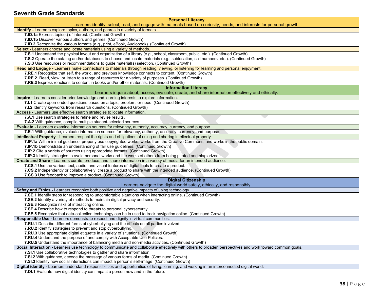#### <span id="page-37-0"></span>**Seventh Grade Standards**

| <b>Personal Literacy</b>                                                                                                                                                                                    |
|-------------------------------------------------------------------------------------------------------------------------------------------------------------------------------------------------------------|
| Learners identify, select, read, and engage with materials based on curiosity, needs, and interests for personal growth.                                                                                    |
| Identify - Learners explore topics, authors, and genres in a variety of formats.                                                                                                                            |
| 7.ID.1a Express topic(s) of interest. (Continued Growth)                                                                                                                                                    |
| 7.ID.1b Discover various authors and genres. (Continued Growth)                                                                                                                                             |
| 7.ID.2 Recognize the various formats (e.g., print, eBook, Audiobook). (Continued Growth)                                                                                                                    |
| Select - Learners choose and locate materials using a variety of methods.                                                                                                                                   |
| 7.S.1 Understand the physical layout and organization of a library (e.g., school, classroom, public, etc.). (Continued Growth)                                                                              |
| 7.S.2 Operate the catalog and/or databases to choose and locate materials (e.g., sublocation, call numbers, etc.). (Continued Growth)                                                                       |
| 7.S.3 Use resources or recommendations to guide material(s) selection. (Continued Growth)                                                                                                                   |
|                                                                                                                                                                                                             |
| Read and Engage - Learners make connections to materials through reading, viewing, or listening for learning and personal enjoyment.                                                                        |
| 7.RE.1 Recognize that self, the world, and previous knowledge connects to content. (Continued Growth)<br>7.RE.2 Read, view, or listen to a range of resources for a variety of purposes. (Continued Growth) |
|                                                                                                                                                                                                             |
| 7.RE.3 Express reactions to content in books and/or other materials. (Continued Growth)                                                                                                                     |
| <b>Information Literacy</b><br>Learners inquire about, access, evaluate, create, and share information effectively and ethically.                                                                           |
| Inquire - Learners consider prior knowledge and learning interests to explore information.                                                                                                                  |
| 7.I.1 Create open-ended questions based on a topic, problem, or need. (Continued Growth)                                                                                                                    |
| 7.I.2 Identify keyworks from research questions. (Continued Growth)                                                                                                                                         |
| Access - Learners use effective search strategies to locate information.                                                                                                                                    |
| 7.A.1 Use search strategies to refine and revise results.                                                                                                                                                   |
| 7.A.2 With guidance, compile multiple student-selected sources.                                                                                                                                             |
| Evaluate - Learners examine information sources for relevancy, authority, accuracy, currency, and purpose.                                                                                                  |
| 7.E.1 With guidance, evaluate information sources for relevancy, authority, accuracy, currency, and purpose.                                                                                                |
| Intellectual Property - Learners respect the rights and obligations of using and sharing intellectual property.                                                                                             |
| 7.IP.1a With minimal guidance, properly use copyrighted works, works from the Creative Commons, and works in the public domain.                                                                             |
| 7.IP.1b Demonstrate an understanding of fair use guidelines. (Continued Growth)                                                                                                                             |
| 7.IP.2 Cite a variety of sources using appropriate formats. (Continued Growth)                                                                                                                              |
| 7.IP.3 Identify strategies to avoid personal works and the works of others from being pirated and plagiarized.                                                                                              |
| Create and Share - Learners curate, produce, and share information in a variety of media for an intended audience.                                                                                          |
| 7.CS.1 Use the various text, audio, and visual features of digital tools to create a product.                                                                                                               |
| 7.CS.2 Independently or collaboratively, create a product to share with the intended audience. (Continued Growth)                                                                                           |
| 7.CS.3 Use feedback to improve a product. (Continued Growth)                                                                                                                                                |
| <b>Digital Citizenship</b>                                                                                                                                                                                  |
| Learners navigate the digital world safely, ethically, and responsibly.                                                                                                                                     |
| Safety and Ethics - Learners recognize both positive and negative impacts of using technology.                                                                                                              |
| 7.SE.1 Identify steps for responding to uncomfortable situations when interacting online. (Continued Growth)                                                                                                |
| 7.SE.2 Identify a variety of methods to maintain digital privacy and security.                                                                                                                              |
| 7.SE.3 Recognize risks of interacting online.                                                                                                                                                               |
| 7.SE.4 Describe how to respond to threats to personal cybersecurity.                                                                                                                                        |
| 7.SE.5 Recognize that data-collection technology can be in used to track navigation online. (Continued Growth)                                                                                              |
| Responsible Use - Learners demonstrate respect and dignity in virtual communities.                                                                                                                          |
| 7.RU.1 Describe different forms of cyberbullying and the effects on all parties involved.                                                                                                                   |
| 7.RU.2 Identify strategies to prevent and stop cyberbullying.                                                                                                                                               |
| <b>7.RU.3</b> Use appropriate digital etiquette in a variety of situations. (Continued Growth)                                                                                                              |
| 7.RU.4 Understand the purpose of and comply with Acceptable Use Policies.                                                                                                                                   |
| 7.RU.5 Understand the importance of balancing media and non-media activities. (Continued Growth)                                                                                                            |
| Social Interaction - Learners use technology to communicate and collaborate effectively with others to broaden perspectives and work toward common goals.                                                   |
| 7.SI.1 Use collaborative technologies to gather and share information.                                                                                                                                      |
| 7.SI.2 With guidance, decode the message of various forms of media. (Continued Growth)                                                                                                                      |
| 7.SI.3 Identify how social interactions can impact a person's self-image. (Continued Growth)                                                                                                                |
| Digital identity - Learners understand responsibilities and opportunities of living, learning, and working in an interconnected digital world.                                                              |
| 7.DI.1 Evaluate how digital identity can impact a person now and in the future.                                                                                                                             |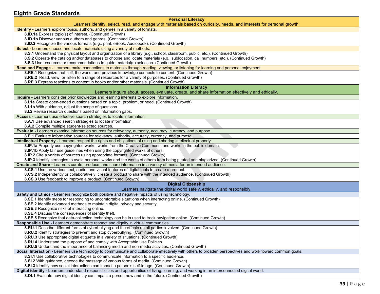### <span id="page-38-0"></span>**Eighth Grade Standards**

| <b>Personal Literacy</b>                                                                                                                                                                |
|-----------------------------------------------------------------------------------------------------------------------------------------------------------------------------------------|
| Learners identify, select, read, and engage with materials based on curiosity, needs, and interests for personal growth.                                                                |
| <b>Identify</b> - Learners explore topics, authors, and genres in a variety of formats.                                                                                                 |
| 8.ID.1a Express topic(s) of interest. (Continued Growth)                                                                                                                                |
| 8.ID.1b Discover various authors and genres. (Continued Growth)                                                                                                                         |
| 8.ID.2 Recognize the various formats (e.g., print, eBook, Audiobook). (Continued Growth)                                                                                                |
| Select - Learners choose and locate materials using a variety of methods.                                                                                                               |
| 8.S.1 Understand the physical layout and organization of a library (e.g., school, classroom, public, etc.). (Continued Growth)                                                          |
| 8.S.2 Operate the catalog and/or databases to choose and locate materials (e.g., sublocation, call numbers, etc.). (Continued Growth)                                                   |
| 8.S.3 Use resources or recommendations to guide material(s) selection. (Continued Growth)                                                                                               |
| Read and Engage - Learners make connections to materials through reading, viewing, or listening for learning and personal enjoyment.                                                    |
| 8.RE.1 Recognize that self, the world, and previous knowledge connects to content. (Continued Growth)                                                                                   |
| 8.RE.2 Read, view, or listen to a range of resources for a variety of purposes. (Continued Growth)                                                                                      |
| 8.RE.3 Express reactions to content in books and/or other materials. (Continued Growth)                                                                                                 |
| <b>Information Literacy</b>                                                                                                                                                             |
| Learners inquire about, access, evaluate, create, and share information effectively and ethically.                                                                                      |
| Inquire - Learners consider prior knowledge and learning interests to explore information.<br>8.I.1a Create open-ended questions based on a topic, problem, or need. (Continued Growth) |
| 8.I.1b With guidance, adjust the scope of questions.                                                                                                                                    |
| 8.I.2 Revise research questions based on information gaps.                                                                                                                              |
| Access - Learners use effective search strategies to locate information.                                                                                                                |
| 8.A.1 Use advanced search strategies to locate information.                                                                                                                             |
| 8.A.2 Compile multiple student-selected sources.                                                                                                                                        |
| Evaluate - Learners examine information sources for relevancy, authority, accuracy, currency, and purpose.                                                                              |
| 8.E.1 Evaluate information sources for relevancy, authority, accuracy, currency, and purpose.                                                                                           |
| Intellectual Property - Learners respect the rights and obligations of using and sharing intellectual property.                                                                         |
| 8.IP.1a Properly use copyrighted works, works from the Creative Commons, and works in the public domain.                                                                                |
| 8.IP.1b Apply fair use guidelines when using the copyrighted works of others.                                                                                                           |
| 8.IP.2 Cite a variety of sources using appropriate formats. (Continued Growth)                                                                                                          |
| 8.IP.3 Identify strategies to avoid personal works and the works of others from being pirated and plagiarized. (Continued Growth)                                                       |
| Create and Share - Learners curate, produce, and share information in a variety of media for an intended audience.                                                                      |
| 8.CS.1 Use the various text, audio, and visual features of digital tools to create a product.                                                                                           |
| 8.CS.2 Independently or collaboratively, create a product to share with the intended audience. (Continued Growth)                                                                       |
| 8.CS.3 Use feedback to improve a product. (Continued Growth)                                                                                                                            |
| <b>Digital Citizenship</b>                                                                                                                                                              |
| Learners navigate the digital world safely, ethically, and responsibly.                                                                                                                 |
| Safety and Ethics - Learners recognize both positive and negative impacts of using technology.                                                                                          |
| 8.SE.1 Identify steps for responding to uncomfortable situations when interacting online. (Continued Growth)                                                                            |
| 8.SE.2 Identify advanced methods to maintain digital privacy and security.                                                                                                              |
| 8.SE.3 Recognize risks of interacting online.<br>8.SE.4 Discuss the consequences of identity theft.                                                                                     |
| 8.SE.5 Recognize that data-collection technology can be in used to track navigation online. (Continued Growth)                                                                          |
| Responsible Use - Learners demonstrate respect and dignity in virtual communities.                                                                                                      |
| 8.RU.1 Describe different forms of cyberbullying and the effects on all parties involved. (Continued Growth)                                                                            |
| 8.RU.2 Identify strategies to prevent and stop cyberbullying. (Continued Growth)                                                                                                        |
| 8.RU.3 Use appropriate digital etiquette in a variety of situations. (Continued Growth)                                                                                                 |
| 8.RU.4 Understand the purpose of and comply with Acceptable Use Policies.                                                                                                               |
| 8.RU.5 Understand the importance of balancing media and non-media activities. (Continued Growth)                                                                                        |
| Social Interaction - Learners use technology to communicate and collaborate effectively with others to broaden perspectives and work toward common goals.                               |
| 8.SI.1 Use collaborative technologies to communicate information to a specific audience.                                                                                                |
| 8.SI.2 With guidance, decode the message of various forms of media. (Continued Growth)                                                                                                  |
| 8.SI.3 Identify how social interactions can impact a person's self-image. (Continued Growth)                                                                                            |
| Digital identity - Learners understand responsibilities and opportunities of living, learning, and working in an interconnected digital world.                                          |
| 8.DI.1 Evaluate how digital identity can impact a person now and in the future. (Continued Growth)                                                                                      |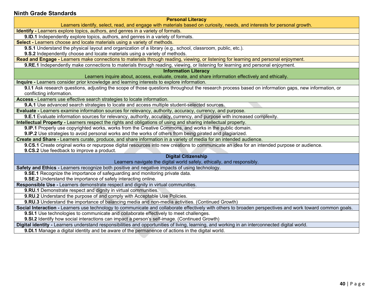#### <span id="page-39-0"></span>**Ninth Grade Standards**

**Personal Literacy**

Learners identify, select, read, and engage with materials based on curiosity, needs, and interests for personal growth.

**Identify -** Learners explore topics, authors, and genres in a variety of formats.

**9.ID.1** Independently explore topics, authors, and genres in a variety of formats.

**Select -** Learners choose and locate materials using a variety of methods.

**9.S.1** Understand the physical layout and organization of a library (e.g., school, classroom, public, etc.).

**9.S.2** Independently choose and locate materials using a variety of methods.

**Read and Engage -** Learners make connections to materials through reading, viewing, or listening for learning and personal enjoyment.

**9.RE.1** Independently make connections to materials through reading, viewing, or listening for learning and personal enjoyment.

**Information Literacy**

Learners inquire about, access, evaluate, create, and share information effectively and ethically.

**Inquire -** Learners consider prior knowledge and learning interests to explore information.

**9.I.1** Ask research questions, adjusting the scope of those questions throughout the research process based on information gaps, new information, or conflicting information.

**Access -** Learners use effective search strategies to locate information.

**9.A.1** Use advanced search strategies to locate and access multiple student-selected sources.

**Evaluate -** Learners examine information sources for relevancy, authority, accuracy, currency, and purpose.

**9.E.1** Evaluate information sources for relevancy, authority, accuracy, currency, and purpose with increased complexity.

**Intellectual Property -** Learners respect the rights and obligations of using and sharing intellectual property.

**9.IP.1** Properly use copyrighted works, works from the Creative Commons, and works in the public domain.

**9.IP.2** Use strategies to avoid personal works and the works of others from being pirated and plagiarized.

**Create and Share -** Learners curate, produce, and share information in a variety of media for an intended audience.

**9.CS.1** Create original works or repurpose digital resources into new creations to communicate an idea for an intended purpose or audience. **9.CS.2** Use feedback to improve a product.

#### **Digital Citizenship**

Learners navigate the digital world safely, ethically, and responsibly.

**Safety and Ethics** - Learners recognize both positive and negative impacts of using technology.

**9.SE.1** Recognize the importance of safeguarding and monitoring private data.

**9.SE.2** Understand the importance of safely interacting online.

**Responsible Use -** Learners demonstrate respect and dignity in virtual communities.

**9.RU.1** Demonstrate respect and dignity in virtual communities.

**9.RU.2** Understand the purpose of and comply with Acceptable Use Policies.

**9.RU.3** Understand the importance of balancing media and non-media activities. (Continued Growth)

**Social Interaction -** Learners use technology to communicate and collaborate effectively with others to broaden perspectives and work toward common goals.

**9.SI.1** Use technologies to communicate and collaborate effectively to meet challenges.

**9.SI.2** Identify how social interactions can impact a person's self-image. (Continued Growth)

**Digital identity -** Learners understand responsibilities and opportunities of living, learning, and working in an interconnected digital world.

**9.DI.1** Manage a digital identity and be aware of the permanence of actions in the digital world.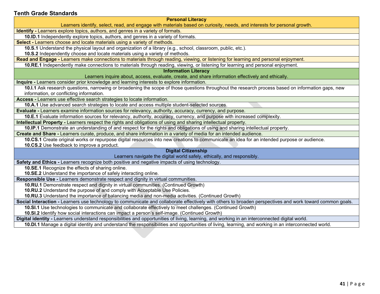#### <span id="page-40-0"></span>**Tenth Grade Standards**

**Personal Literacy**

Learners identify, select, read, and engage with materials based on curiosity, needs, and interests for personal growth.

**Identify -** Learners explore topics, authors, and genres in a variety of formats.

**10.ID.1** Independently explore topics, authors, and genres in a variety of formats.

**Select -** Learners choose and locate materials using a variety of methods.

**10.S.1** Understand the physical layout and organization of a library (e.g., school, classroom, public, etc.).

**10.S.2** Independently choose and locate materials using a variety of methods.

**Read and Engage -** Learners make connections to materials through reading, viewing, or listening for learning and personal enjoyment.

**10.RE.1** Independently make connections to materials through reading, viewing, or listening for learning and personal enjoyment.

**Information Literacy**

Learners inquire about, access, evaluate, create, and share information effectively and ethically.

**Inquire -** Learners consider prior knowledge and learning interests to explore information.

10.I.1 Ask research questions, narrowing or broadening the scope of those questions throughout the research process based on information gaps, new information, or conflicting information.

**Access -** Learners use effective search strategies to locate information.

**10.A.1** Use advanced search strategies to locate and access multiple student-selected sources.

**Evaluate -** Learners examine information sources for relevancy, authority, accuracy, currency, and purpose.

**10.E.1** Evaluate information sources for relevancy, authority, accuracy, currency, and purpose with increased complexity.

**Intellectual Property -** Learners respect the rights and obligations of using and sharing intellectual property.

**10.IP.1** Demonstrate an understanding of and respect for the rights and obligations of using and sharing intellectual property.

**Create and Share -** Learners curate, produce, and share information in a variety of media for an intended audience.

**10.CS.1** Create original works or repurpose digital resources into new creations to communicate an idea for an intended purpose or audience.

**10.CS.2** Use feedback to improve a product.

#### **Digital Citizenship**

Learners navigate the digital world safely, ethically, and responsibly.

**Safety and Ethics -** Learners recognize both positive and negative impacts of using technology.

**10.SE.1** Recognize the effects of sharing online.

**10.SE.2** Understand the importance of safely interacting online.

**Responsible Use -** Learners demonstrate respect and dignity in virtual communities.

**10.RU.1** Demonstrate respect and dignity in virtual communities. (Continued Growth)

**10.RU.2** Understand the purpose of and comply with Acceptable Use Policies.

**10.RU.3** Understand the importance of balancing media and non-media activities. (Continued Growth)

**Social Interaction -** Learners use technology to communicate and collaborate effectively with others to broaden perspectives and work toward common goals.

**10.SI.1** Use technologies to communicate and collaborate effectively to meet challenges. (Continued Growth)

**10.SI.2** Identify how social interactions can impact a person's self-image. (Continued Growth)

**Digital identity -** Learners understand responsibilities and opportunities of living, learning, and working in an interconnected digital world.

**10.DI.1** Manage a digital identity and understand the responsibilities and opportunities of living, learning, and working in an interconnected world.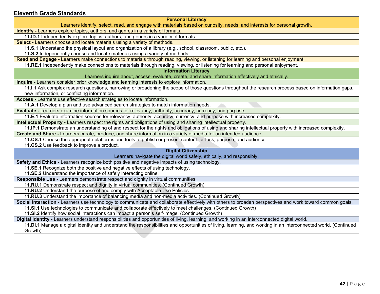#### <span id="page-41-0"></span>**Eleventh Grade Standards**

**Personal Literacy**

Learners identify, select, read, and engage with materials based on curiosity, needs, and interests for personal growth.

**Identify -** Learners explore topics, authors, and genres in a variety of formats.

**11.ID.1** Independently explore topics, authors, and genres in a variety of formats.

**Select -** Learners choose and locate materials using a variety of methods.

**11.S.1** Understand the physical layout and organization of a library (e.g., school, classroom, public, etc.).

**11.S.2** Independently choose and locate materials using a variety of methods.

**Read and Engage -** Learners make connections to materials through reading, viewing, or listening for learning and personal enjoyment.

**11.RE.1** Independently make connections to materials through reading, viewing, or listening for learning and personal enjoyment.

**Information Literacy**

Learners inquire about, access, evaluate, create, and share information effectively and ethically.

**Inquire -** Learners consider prior knowledge and learning interests to explore information.

**11.I.1** Ask complex research questions, narrowing or broadening the scope of those questions throughout the research process based on information gaps, new information, or conflicting information.

**Access -** Learners use effective search strategies to locate information.

**11.A.1** Develop a plan and use advanced search strategies to match information needs.

**Evaluate -** Learners examine information sources for relevancy, authority, accuracy, currency, and purpose.

**11.E.1** Evaluate information sources for relevancy, authority, accuracy, currency, and purpose with increased complexity.

**Intellectual Property -** Learners respect the rights and obligations of using and sharing intellectual property.

**11.IP.1** Demonstrate an understanding of and respect for the rights and obligations of using and sharing intellectual property with increased complexity.

**Create and Share -** Learners curate, produce, and share information in a variety of media for an intended audience.

**11.CS.1** Choose the appropriate platforms and tools to publish or present content for task, purpose, and audience.

**11.CS.2** Use feedback to improve a product.

#### **Digital Citizenship**

Learners navigate the digital world safely, ethically, and responsibly.

**Safety and Ethics -** Learners recognize both positive and negative impacts of using technology.

**11.SE.1** Recognize both the positive and negative effects of using technology.

**11.SE.2** Understand the importance of safely interacting online.

**Responsible Use -** Learners demonstrate respect and dignity in virtual communities.

**11.RU.1** Demonstrate respect and dignity in virtual communities. (Continued Growth)

**11.RU.2** Understand the purpose of and comply with Acceptable Use Policies.

**11.RU.3** Understand the importance of balancing media and non-media activities. (Continued Growth)

**Social Interaction -** Learners use technology to communicate and collaborate effectively with others to broaden perspectives and work toward common goals.

**11.SI.1** Use technologies to communicate and collaborate effectively to meet challenges. (Continued Growth)

**11.SI.2** Identify how social interactions can impact a person's self-image. (Continued Growth)

**Digital identity -** Learners understand responsibilities and opportunities of living, learning, and working in an interconnected digital world.

**11.DI.1** Manage a digital identity and understand the responsibilities and opportunities of living, learning, and working in an interconnected world. (Continued Growth)